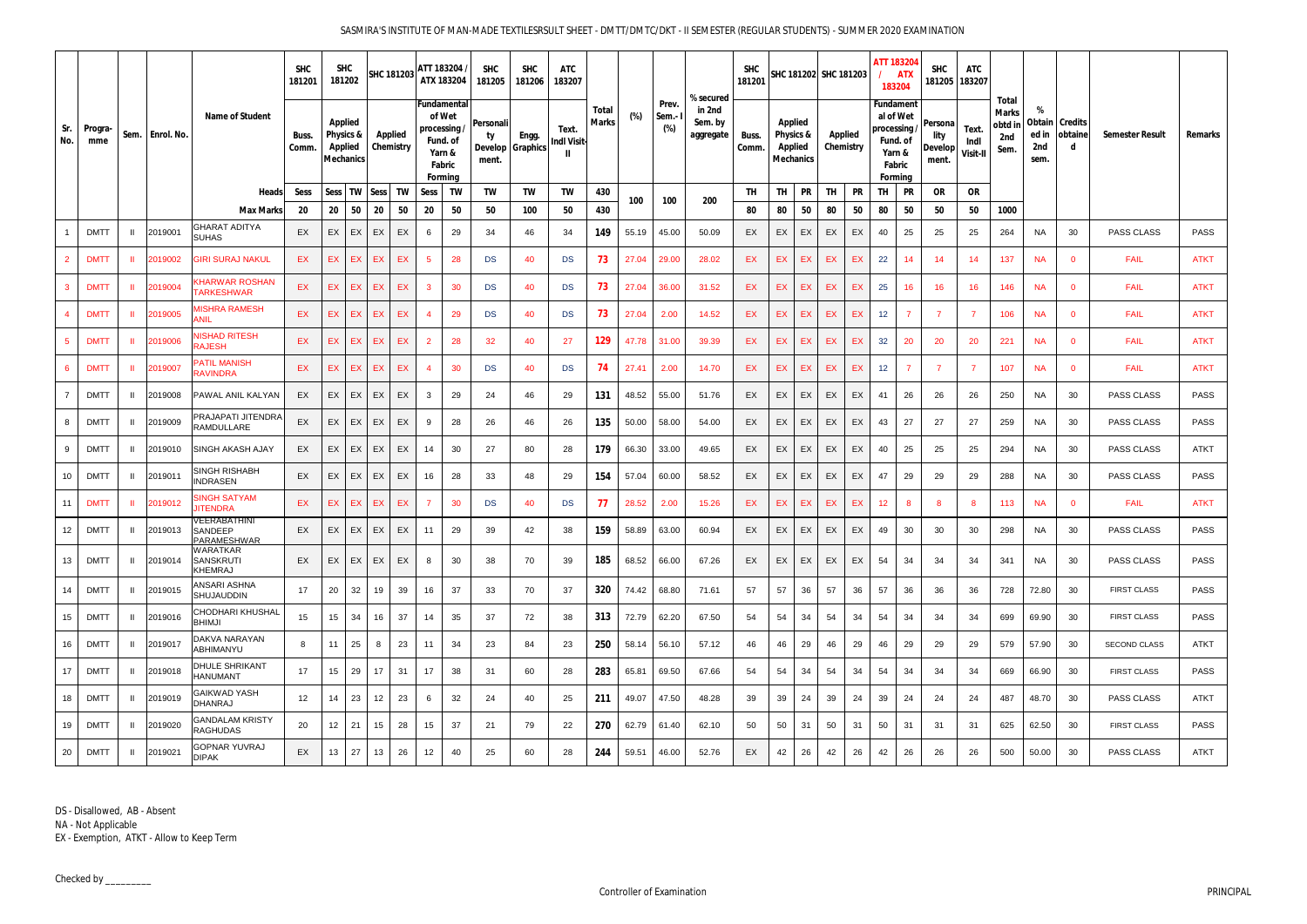|                |                |      |                   |                                                       | <b>SHC</b><br>181201 | <b>SHC</b><br>181202                                              |                   |                             | SHC 181203 | ATT 183204<br>ATX 183204                                                   |                | <b>SHC</b><br>181205                   | <b>SHC</b><br>181206 | ATC<br>183207        |                       |       |                          |                                             | <b>SHC</b><br>181201 |    |                                                                   | SHC 181202 SHC 181203       |           | ATT 183204<br>183204                                             | <b>ATX</b>          | <b>SHC</b>                          | <b>ATC</b><br>181205 183207     |                                          |                                           |                    |                        |             |
|----------------|----------------|------|-------------------|-------------------------------------------------------|----------------------|-------------------------------------------------------------------|-------------------|-----------------------------|------------|----------------------------------------------------------------------------|----------------|----------------------------------------|----------------------|----------------------|-----------------------|-------|--------------------------|---------------------------------------------|----------------------|----|-------------------------------------------------------------------|-----------------------------|-----------|------------------------------------------------------------------|---------------------|-------------------------------------|---------------------------------|------------------------------------------|-------------------------------------------|--------------------|------------------------|-------------|
| Sr.<br>No.     | Progra-<br>mme |      | Sem.   Enrol. No. | <b>Name of Student</b>                                | Buss.<br>Comm.       | <b>Applied</b><br>Physics &<br><b>Applied</b><br><b>Mechanics</b> |                   | <b>Applied</b><br>Chemistry |            | Fundamental<br>of Wet<br>processing<br>Fund. of<br>Yarn &<br><b>Fabric</b> | <b>Forming</b> | Personali<br>Develop Graphics<br>ment. | Engg.                | Text.<br>Indl Visit- | Total<br><b>Marks</b> | (%)   | Prev.<br>Sem.-<br>$(\%)$ | % secured<br>in 2nd<br>Sem. by<br>aggregate | Buss.<br>Comm.       |    | <b>Applied</b><br>Physics &<br><b>Applied</b><br><b>Mechanics</b> | <b>Applied</b><br>Chemistry |           | al of Wet<br>processing.<br>Fund. of<br>Fabric<br><b>Forming</b> | Fundament<br>Yarn & | Persona<br>lity<br>Develop<br>ment. | Text<br>Indi<br><b>Visit-II</b> | Total<br>Marks<br>obtd in<br>2nd<br>Sem. | %<br><b>Obtain Credits</b><br>2nd<br>sem. | ed in obtaine<br>d | <b>Semester Result</b> | Remarks     |
|                |                |      |                   | Heads                                                 | Sess                 | Sess   TW   Sess                                                  |                   |                             | TW         | Sess                                                                       | TW             | TW                                     | TW                   | TW                   | 430                   | 100   | 100                      | 200                                         | TH.                  | TH | <b>PR</b>                                                         | TH                          | <b>PR</b> | TH                                                               | <b>PR</b>           | <b>OR</b>                           | <b>OR</b>                       |                                          |                                           |                    |                        |             |
|                |                |      |                   | <b>Max Marks</b>                                      | 20                   | 20                                                                | 50                | 20                          | 50         | 20                                                                         | 50             | 50                                     | 100                  | 50                   | 430                   |       |                          |                                             | 80                   | 80 | 50                                                                | 80                          | 50        | 80                                                               | 50                  | 50                                  | 50                              | 1000                                     |                                           |                    |                        |             |
|                | <b>DMTT</b>    |      | 2019001           | <b>GHARAT ADITYA</b><br><b>SUHAS</b>                  | EX                   | EX                                                                | EX EX             |                             | EX         | 6                                                                          | 29             | 34                                     | 46                   | 34                   | 149                   | 55.19 | 45.00                    | 50.09                                       | EX                   | EX | EX                                                                | EX                          | EX        | 40                                                               | 25                  | 25                                  | 25                              | 264                                      | NA.                                       | 30                 | <b>PASS CLASS</b>      | PASS        |
| $\overline{2}$ | <b>DMTT</b>    |      | 2019002           | <b>GIRI SURAJ NAKUL</b>                               | EX.                  | EX.                                                               | EX                | EX                          | EX         | -5                                                                         | 28             | DS                                     | 40                   | DS                   | 73                    | 27.04 | 29.00                    | 28.02                                       | EX                   | EX | EX                                                                | EX                          | EX.       | 22                                                               | 14                  | 14                                  | 14                              | 137                                      | <b>NA</b>                                 | $\Omega$           | <b>FAIL</b>            | <b>ATKT</b> |
| 3              | <b>DMTT</b>    |      | 2019004           | <b>KHARWAR ROSHAN</b><br><b>TARKESHWAR</b>            | EX.                  | EX.                                                               | EX                | EX                          | EX         | -3                                                                         | 30             | <b>DS</b>                              | 40                   | DS                   | 73                    | 27.04 | 36.00                    | 31.52                                       | EX.                  | EX | EX                                                                | EX                          | EX        | 25                                                               | 16                  | 16                                  | 16                              | 146                                      | <b>NA</b>                                 | $\Omega$           | <b>FAIL</b>            | <b>ATKT</b> |
|                | <b>DMTT</b>    |      | 2019005           | <b>MISHRA RAMESH</b><br><b>ANIL</b>                   | EX                   | EX.                                                               | EX                | EX                          | <b>EX</b>  |                                                                            | 29             | <b>DS</b>                              | 40                   | DS                   | 73                    | 27.04 | 2.00                     | 14.52                                       | EX.                  | EX | EX                                                                | EX                          | EX        | 12                                                               |                     |                                     |                                 | 106                                      | <b>NA</b>                                 | $\Omega$           | <b>FAIL</b>            | <b>ATKT</b> |
| 5              | <b>DMTT</b>    |      | 2019006           | <b>NISHAD RITESH</b><br><b>RAJESH</b>                 | EX                   | EX                                                                | EX                | EX                          | EX         | $\overline{2}$                                                             | 28             | 32                                     | 40                   | 27                   | 129                   | 47.78 | 31.00                    | 39.39                                       | EX                   | EX | EX                                                                | EX                          | EX.       | 32                                                               | 20                  | 20                                  | 20                              | 221                                      | <b>NA</b>                                 | $\Omega$           | <b>FAIL</b>            | <b>ATKT</b> |
| 6              | <b>DMTT</b>    |      | 2019007           | <b>PATIL MANISH</b><br><b>RAVINDRA</b>                | EX                   | EX                                                                | EX                | EX                          | EX         | $\overline{4}$                                                             | 30             | DS                                     | 40                   | DS.                  | 74                    | 27.41 | 2.00                     | 14.70                                       | EX                   | EX | EX                                                                | EX                          | EX.       | 12                                                               |                     | $\overline{7}$                      |                                 | 107                                      | <b>NA</b>                                 | $\mathbf{0}$       | <b>FAIL</b>            | <b>ATKT</b> |
|                | DMTT           |      | 2019008           | PAWAL ANIL KALYAN                                     | EX                   |                                                                   | EX EX EX          |                             | EX         | 3                                                                          | 29             | 24                                     | 46                   | 29                   | 131                   | 48.52 | 55.00                    | 51.76                                       | EX                   | EX | EX                                                                | EX                          | EX        | 41                                                               | 26                  | 26                                  | 26                              | 250                                      | NA.                                       | 30                 | <b>PASS CLASS</b>      | PASS        |
| 8              | DMTT           |      | 2019009           | PRAJAPATI JITENDRA<br>RAMDULLARE                      | EX                   | EX                                                                | EX                | EX                          | EX         | 9                                                                          | 28             | 26                                     | 46                   | 26                   | 135                   | 50.00 | 58.00                    | 54.00                                       | EX                   | EX | EX                                                                | EX                          | EX        | 43                                                               | 27                  | 27                                  | 27                              | 259                                      | NA                                        | 30                 | <b>PASS CLASS</b>      | PASS        |
| 9              | DMTT           |      | 2019010           | <b>SINGH AKASH AJAY</b>                               | EX                   |                                                                   | EX EX EX          |                             | EX         | 14                                                                         | 30             | 27                                     | 80                   | 28                   | 179                   | 66.30 | 33.00                    | 49.65                                       | EX                   | EX | EX                                                                | EX                          | EX        | 40                                                               | 25                  | 25                                  | 25                              | 294                                      | NA.                                       | 30                 | <b>PASS CLASS</b>      | <b>ATKT</b> |
| 10             | DMTT           |      | 2019011           | SINGH RISHABH<br><b>INDRASEN</b>                      | EX                   | EX                                                                | EX                | EX                          | EX         | 16                                                                         | 28             | 33                                     | 48                   | 29                   | 154                   | 57.04 | 60.00                    | 58.52                                       | EX                   | EX | EX                                                                | EX                          | EX        | 47                                                               | 29                  | 29                                  | 29                              | 288                                      | NA                                        | 30                 | <b>PASS CLASS</b>      | PASS        |
| 11             | DMTT           |      | 2019012           | <b>SINGH SATYAM</b><br><b>JITENDRA</b>                | EX.                  | EX.                                                               | EX                | EX                          | EX         | -7                                                                         | 30             | <b>DS</b>                              | 40                   | DS.                  | 77                    | 28.52 | 2.00                     | 15.26                                       | EX                   | EX | EX                                                                | EX                          | EX.       | 12                                                               | -8                  | -8                                  | -8                              | 113                                      | <b>NA</b>                                 | $\Omega$           | <b>FAIL</b>            | <b>ATKT</b> |
| 12             | <b>DMTT</b>    |      | 2019013           | VEERABATHINI<br><b>SANDEEP</b><br><b>DADAMESHWAD</b>  | EX                   | EX                                                                | EX EX             |                             | EX         | 11                                                                         | 29             | 39                                     | 42                   | 38                   | 159                   | 58.89 | 63.00                    | 60.94                                       | EX                   | EX | EX                                                                | EX                          | EX        | 49                                                               | 30                  | 30                                  | 30                              | 298                                      | NA.                                       | 30                 | PASS CLASS             | PASS        |
| 13             | DMTT           |      | 2019014           | <b>WARATKAR</b><br><b>SANSKRUTI</b><br><b>KHEMRAJ</b> | EX                   |                                                                   | EX EX EX          |                             | EX         | 8                                                                          | 30             | 38                                     | 70                   | 39                   | 185                   | 68.52 | 66.00                    | 67.26                                       | EX                   | EX | EX                                                                | EX                          | EX        | 54                                                               | 34                  | 34                                  | 34                              | 341                                      | NA                                        | 30                 | PASS CLASS             | <b>PASS</b> |
| 14             | <b>DMTT</b>    |      | 2019015           | ANSARI ASHNA<br><b>SHUJAUDDIN</b>                     | 17                   | 20                                                                | 32                | 19                          | 39         | 16                                                                         | 37             | 33                                     | 70                   | 37                   | 320                   | 74.42 | 68.80                    | 71.61                                       | 57                   | 57 | 36                                                                | 57                          | 36        | 57                                                               | 36                  | 36                                  | 36                              | 728                                      | 72.80                                     | 30                 | <b>FIRST CLASS</b>     | <b>PASS</b> |
| $15-15$        | <b>DMTT</b>    |      | 2019016           | CHODHARI KHUSHAL<br><b>BHIMJI</b>                     | 15                   | 15                                                                | 34                | 16                          | 37         | 14                                                                         | 35             | 37                                     | 72                   | 38                   | 313                   | 72.79 | 62.20                    | 67.50                                       | 54                   | 54 | 34                                                                | 54                          | 34        | 54                                                               | 34                  | 34                                  | 34                              | 699                                      | 69.90                                     | 30                 | <b>FIRST CLASS</b>     | PASS        |
| 16             | DMTT           |      | 2019017           | DAKVA NARAYAN<br>ABHIMANYU                            | 8                    | 11                                                                | 25                | 8                           | 23         | 11                                                                         | 34             | 23                                     | 84                   | 23                   | 250                   | 58.14 | 56.10                    | 57.12                                       | 46                   | 46 | 29                                                                | 46                          | 29        | 46                                                               | 29                  | 29                                  | 29                              | 579                                      | 57.90                                     | 30                 | <b>SECOND CLASS</b>    | ATKT        |
| 17             | <b>DMTT</b>    |      | 2019018           | DHULE SHRIKANT<br><b>HANUMANT</b>                     | 17                   |                                                                   | $15 \mid 29 \mid$ | 17                          | 31         | 17                                                                         | 38             | 31                                     | 60                   | 28                   | 283                   | 65.81 | 69.50                    | 67.66                                       | 54                   | 54 | 34                                                                | 54                          | 34        | 54                                                               | 34                  | 34                                  | 34                              | 669                                      | 66.90                                     | 30                 | <b>FIRST CLASS</b>     | <b>PASS</b> |
| 18             | <b>DMTT</b>    | - II | 2019019           | <b>GAIKWAD YASH</b><br><b>DHANRAJ</b>                 | $12 \overline{ }$    | 14                                                                | 23                | 12                          | 23         | 6                                                                          | 32             | 24                                     | 40                   | 25                   | 211                   | 49.07 | 47.50                    | 48.28                                       | 39                   | 39 | 24                                                                | 39                          | 24        | 39                                                               | 24                  | 24                                  | 24                              | 487                                      | 48.70                                     | 30                 | PASS CLASS             | ATKT        |
| 19             | <b>DMTT</b>    |      | 2019020           | <b>GANDALAM KRISTY</b><br><b>RAGHUDAS</b>             | 20                   | $12$   21                                                         |                   | 15                          | 28         | 15 <sub>1</sub>                                                            | 37             | 21                                     | 79                   | 22                   | 270                   | 62.79 | 61.40                    | 62.10                                       | 50                   | 50 | 31                                                                | 50                          | 31        | 50                                                               | 31                  | 31                                  | 31                              | 625                                      | 62.50                                     | 30                 | <b>FIRST CLASS</b>     | <b>PASS</b> |
| 20             | DMTT           |      | 2019021           | <b>GOPNAR YUVRAJ</b><br><b>DIPAK</b>                  | EX                   | 13                                                                | 27                | 13                          | 26         | 12                                                                         | 40             | 25                                     | 60                   | 28                   | 244                   | 59.51 | 46.00                    | 52.76                                       | EX                   | 42 | 26                                                                | 42                          | 26        | 42                                                               | 26                  | 26                                  | 26                              | 500                                      | 50.00                                     | 30                 | <b>PASS CLASS</b>      | ATKT        |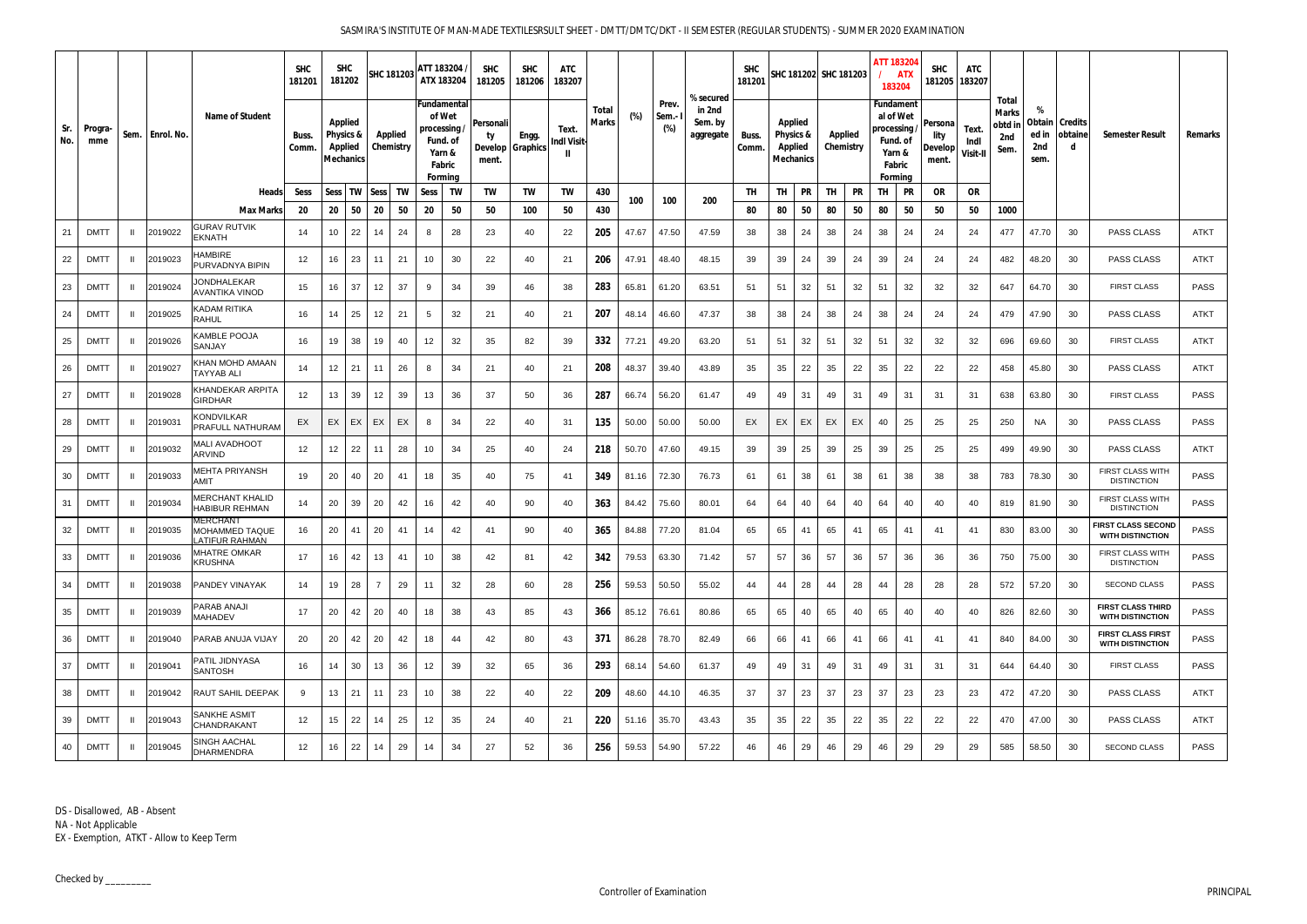|            |                |                   |                                                  | <b>SHC</b><br>181201 | <b>SHC</b><br>181202                                       |    | SHC 181203                  |    | ATT 183204  | ATX 183204                                                                    | <b>SHC</b><br>181205     | <b>SHC</b><br>181206      | <b>ATC</b><br>183207       |                       |       |                         |                                             | <b>SHC</b><br>181201 |    |                                                                              | SHC 181202 SHC 181203       |           |    | ATT 183204<br><b>ATX</b><br>183204                                                      | <b>SHC</b>                                 | <b>ATC</b><br>181205 183207 |                                                |                  |                                        |                                                     |             |
|------------|----------------|-------------------|--------------------------------------------------|----------------------|------------------------------------------------------------|----|-----------------------------|----|-------------|-------------------------------------------------------------------------------|--------------------------|---------------------------|----------------------------|-----------------------|-------|-------------------------|---------------------------------------------|----------------------|----|------------------------------------------------------------------------------|-----------------------------|-----------|----|-----------------------------------------------------------------------------------------|--------------------------------------------|-----------------------------|------------------------------------------------|------------------|----------------------------------------|-----------------------------------------------------|-------------|
| Sr.<br>No. | Progra-<br>mme | Sem.   Enrol. No. | <b>Name of Student</b>                           | Buss.<br>Comm.       | <b>Applied</b><br>Physics &<br><b>Applied</b><br>Mechanics |    | <b>Applied</b><br>Chemistry |    | of Wet      | Fundamental<br>، processing<br>Fund. of<br>Yarn &<br>Fabric<br><b>Forming</b> | Personali<br>ty<br>ment. | Engg.<br>Develop Graphics | Text.<br><b>Indl Visit</b> | <b>Total</b><br>Marks | (%)   | Prev.<br>Sem.<br>$(\%)$ | % secured<br>in 2nd<br>Sem. by<br>aggregate | Buss.<br>Comm.       |    | <b>Applied</b><br><b>Physics &amp;</b><br><b>Applied</b><br><b>Mechanics</b> | <b>Applied</b><br>Chemistry |           |    | <b>Fundament</b><br>al of Wet<br>processing.<br>Fund. of<br>Yarn &<br>Fabric<br>Forming | Persona<br>lity<br><b>Develop</b><br>ment. | Text<br>Indi<br>Visit-II    | Total<br><b>Marks</b><br>obtd i<br>2nd<br>Sem. | %<br>2nd<br>sem. | Obtain   Credits<br>ed in obtaine<br>d | <b>Semester Result</b>                              | Remarks     |
|            |                |                   | <b>Heads</b>                                     | Sess                 | <b>Sess</b>                                                |    | <b>TW Sess</b>              | TW | <b>Sess</b> | <b>TW</b>                                                                     | TW                       | TW                        | TW                         | 430                   | 100   | 100                     | 200                                         | TH                   | TH | <b>PR</b>                                                                    | TH                          | <b>PR</b> | TH | <b>PR</b>                                                                               | <b>OR</b>                                  | <b>OR</b>                   |                                                |                  |                                        |                                                     |             |
|            |                |                   | <b>Max Marks</b>                                 | 20                   | 20                                                         | 50 | 20                          | 50 | -20         | 50                                                                            | 50                       | 100                       | 50                         | 430                   |       |                         |                                             | 80                   | 80 | 50                                                                           | 80                          | 50        | 80 | 50                                                                                      | 50                                         | 50                          | 1000                                           |                  |                                        |                                                     |             |
| 21         | DMTT           | 2019022           | <b>GURAV RUTVIK</b><br><b>EKNATH</b>             | 14                   | 10 <sup>°</sup>                                            | 22 | 14                          | 24 | 8           | 28                                                                            | 23                       | 40                        | 22                         | 205                   | 47.67 | 47.50                   | 47.59                                       | 38                   | 38 | 24                                                                           | -38                         | 24        | 38 | 24                                                                                      | 24                                         | 24                          | 477                                            | 47.70            | 30                                     | PASS CLASS                                          | ATKT        |
| 22         | <b>DMT</b>     | 2019023           | <b>HAMBIRE</b><br>PURVADNYA BIPIN                | 12                   | 16                                                         | 23 | 11                          | 21 | 10          | 30                                                                            | 22                       | 40                        | 21                         | 206                   | 47.91 | 48.40                   | 48.15                                       | 39                   | 39 | 24                                                                           | -39                         | 24        | 39 | 24                                                                                      | 24                                         | 24                          | 482                                            | 48.20            | 30                                     | <b>PASS CLASS</b>                                   | <b>ATKT</b> |
| 23         | <b>DMT</b>     | 2019024           | <b>JONDHALEKAR</b><br><b>AVANTIKA VINOD</b>      | 15                   | 16                                                         | 37 | 12 <sup>2</sup>             | 37 | 9           | 34                                                                            | 39                       | 46                        | 38                         | 283                   | 65.81 | 61.20                   | 63.51                                       | 51                   | 51 | 32                                                                           | -51                         | 32        | 51 | 32                                                                                      | 32                                         | 32                          | 647                                            | 64.70            | 30                                     | <b>FIRST CLASS</b>                                  | <b>PASS</b> |
| 24         | <b>DMT</b>     | 2019025           | KADAM RITIKA<br>RAHUL                            | 16                   | 14                                                         | 25 | $12 \overline{ }$           | 21 | 5           | 32                                                                            | 21                       | 40                        | 21                         | 207                   | 48.14 | 46.60                   | 47.37                                       | 38                   | 38 | 24                                                                           | 38                          | 24        | 38 | 24                                                                                      | 24                                         | 24                          | 479                                            | 47.90            | 30                                     | <b>PASS CLASS</b>                                   | <b>ATKT</b> |
| 25         | <b>DMT</b>     | 2019026           | KAMBLE POOJA<br>SANJAY                           | 16                   | 19                                                         | 38 | 19                          | 40 | 12          | 32                                                                            | 35                       | 82                        | 39                         | 332                   | 77.21 | 49.20                   | 63.20                                       | 51                   | 51 | 32                                                                           | 51                          | 32        | 51 | 32                                                                                      | 32                                         | 32                          | 696                                            | 69.60            | 30                                     | <b>FIRST CLASS</b>                                  | ATKT        |
| 26         | <b>DMTT</b>    | 2019027           | KHAN MOHD AMAAN<br><b>TAYYAB ALI</b>             | 14                   | 12 <sup>12</sup>                                           | 21 | 11                          | 26 | 8           | 34                                                                            | 21                       | 40                        | -21                        | 208                   | 48.37 | 39.40                   | 43.89                                       | 35                   | 35 | 22                                                                           | 35                          | 22        | 35 | 22                                                                                      | 22                                         | 22                          | 458                                            | 45.80            | 30                                     | <b>PASS CLASS</b>                                   | <b>ATKT</b> |
| 27         | <b>DMT</b>     | 2019028           | KHANDEKAR ARPITA<br><b>GIRDHAR</b>               | 12 <sup>°</sup>      | 13                                                         | 39 | $12 \overline{ }$           | 39 | 13          | 36                                                                            | -37                      | 50                        | 36                         | 287                   | 66.74 | 56.20                   | 61.47                                       | 49                   | 49 | 31                                                                           | 49                          | 31        | 49 | -31                                                                                     | 31                                         | -31                         | 638                                            | 63.80            | 30                                     | <b>FIRST CLASS</b>                                  | <b>PASS</b> |
| 28         | <b>DMTT</b>    | 2019031           | KONDVILKAR<br>PRAFULL NATHURAM                   | EX                   | EX                                                         | EX | EX                          | EX | 8           | 34                                                                            | 22                       | 40                        | -31                        | 135                   | 50.00 | 50.00                   | 50.00                                       | EX                   | EX | EX                                                                           | EX                          | EX        | 40 | 25                                                                                      | 25                                         | 25                          | 250                                            | NA.              | 30                                     | <b>PASS CLASS</b>                                   | <b>PASS</b> |
| 29         | DMTT           | 2019032           | <b>MALI AVADHOOT</b><br>ARVIND                   | 12                   | 12 <sup>2</sup>                                            | 22 | 11                          | 28 | 10          | 34                                                                            | 25                       | 40                        | 24                         | 218                   | 50.70 | 47.60                   | 49.15                                       | 39                   | 39 | 25                                                                           | 39                          | 25        | 39 | 25                                                                                      | 25                                         | 25                          | 499                                            | 49.90            | 30                                     | PASS CLASS                                          | <b>ATKT</b> |
| 30         | <b>DMTT</b>    | 2019033           | <b>MEHTA PRIYANSH</b><br>AMIT                    | 19                   | 20                                                         | 40 | 20                          | 41 | 18          | 35                                                                            | 40                       | 75                        | -41                        | 349                   | 81.16 | 72.30                   | 76.73                                       | 61                   | 61 | 38                                                                           | -61                         | 38        | 61 | 38                                                                                      | 38                                         | 38                          | 783                                            | 78.30            | 30                                     | FIRST CLASS WITH<br><b>DISTINCTION</b>              | PASS        |
| 31         | <b>DMT1</b>    | 2019034           | MERCHANT KHALID<br>HABIBUR REHMAN                | 14                   | 20                                                         | 39 | 20                          | 42 | 16          | 42                                                                            | 40                       | 90                        | 40                         | 363                   | 84.42 | 75.60                   | 80.01                                       | 64                   | 64 | 40                                                                           | 64                          | 40        | 64 | 40                                                                                      | 40                                         | 40                          | 819                                            | 81.90            | 30                                     | <b>FIRST CLASS WITH</b><br><b>DISTINCTION</b>       | PASS        |
| 32         | <b>DMTT</b>    | 2019035           | VIERCHANT<br>MOHAMMED TAQUE<br>I ATIFI IR RAHMAN | 16                   | 20                                                         | 41 | 20                          | 41 | 14          | 42                                                                            | 41                       | 90                        | 40                         | 365                   | 84.88 | 77.20                   | 81.04                                       | 65                   | 65 | 41                                                                           | 65                          | 41        | 65 | 41                                                                                      | 41                                         | 41                          | 830                                            | 83.00            | 30                                     | FIRST CLASS SECOND<br><b>WITH DISTINCTION</b>       | PASS        |
| 33         | <b>DMTT</b>    | 2019036           | <b>MHATRE OMKAR</b><br>KRUSHNA                   | 17                   | 16                                                         | 42 | 13                          | 41 | 10          | 38                                                                            | 42                       | 81                        | 42                         | 342                   | 79.53 | 63.30                   | 71.42                                       | 57                   | 57 | 36                                                                           | 57                          | 36        | 57 | 36                                                                                      | 36                                         | 36                          | 750                                            | 75.00            | 30                                     | <b>FIRST CLASS WITH</b><br><b>DISTINCTION</b>       | <b>PASS</b> |
| 34         | <b>DMTT</b>    | 2019038           | PANDEY VINAYAK                                   | 14                   | 19                                                         | 28 | - 7                         | 29 | 11          | 32                                                                            | 28                       | 60                        | 28                         | 256                   | 59.53 | 50.50                   | 55.02                                       | 44                   | 44 | 28                                                                           | 44                          | 28        | 44 | 28                                                                                      | 28                                         | 28                          | 572                                            | 57.20            | 30                                     | <b>SECOND CLASS</b>                                 | <b>PASS</b> |
| 35         | <b>DMTT</b>    | 2019039           | PARAB ANAJI<br><b>MAHADEV</b>                    | 17                   | 20                                                         | 42 | 20                          | 40 | 18          | 38                                                                            | 43                       | 85                        | 43                         | 366                   | 85.12 | 76.61                   | 80.86                                       | 65                   | 65 | 40                                                                           | 65                          | 40        | 65 | 40                                                                                      | 40                                         | 40                          | 826                                            | 82.60            | 30                                     | <b>FIRST CLASS THIRD</b><br><b>WITH DISTINCTION</b> | <b>PASS</b> |
| 36         | <b>DMTT</b>    | 2019040           | PARAB ANUJA VIJAY                                | 20                   | 20                                                         | 42 | 20                          | 42 | 18          | 44                                                                            | 42                       | 80                        | 43                         | 371                   | 86.28 | 78.70                   | 82.49                                       | 66                   | 66 | 41                                                                           | 66                          | 41        | 66 | 41                                                                                      | 41                                         | -41                         | 840                                            | 84.00            | 30                                     | <b>FIRST CLASS FIRST</b><br><b>WITH DISTINCTION</b> | <b>PASS</b> |
| 37         | <b>DMTT</b>    | 2019041           | PATIL JIDNYASA<br><b>SANTOSH</b>                 | 16                   | 14                                                         | 30 | 13                          | 36 | 12          | 39                                                                            | 32                       | 65                        | 36                         | 293                   | 68.14 | 54.60                   | 61.37                                       | 49                   | 49 | 31                                                                           | 49                          | 31        | 49 | -31                                                                                     | 31                                         | 31                          | 644                                            | 64.40            | 30                                     | <b>FIRST CLASS</b>                                  | PASS        |
| 38         | <b>DMTT</b>    | 2019042           | RAUT SAHIL DEEPAK                                | -9                   | 13                                                         | 21 | 11                          | 23 | 10          | 38                                                                            | 22                       | 40                        | 22                         | 209                   | 48.60 | 44.10                   | 46.35                                       | 37                   | 37 | 23                                                                           | 37                          | 23        | 37 | 23                                                                                      | 23                                         | 23                          | 472                                            | 47.20            | 30                                     | PASS CLASS                                          | <b>ATKT</b> |
| 39         | <b>DMTT</b>    | 2019043           | SANKHE ASMIT<br>CHANDRAKANT                      | 12 <sup>°</sup>      | 15                                                         | 22 | 14                          | 25 | 12          | 35                                                                            | 24                       | 40                        | 21                         | 220                   | 51.16 | 35.70                   | 43.43                                       | 35                   | 35 | 22                                                                           | 35                          | 22        | 35 | 22                                                                                      | 22                                         | 22                          | 470                                            | 47.00            | 30                                     | PASS CLASS                                          | <b>ATKT</b> |
| 40         | <b>DMTT</b>    | 2019045           | <b>SINGH AACHAL</b><br><b>DHARMENDRA</b>         | 12 <sup>2</sup>      | 16                                                         | 22 | 14                          | 29 | 14          | 34                                                                            | 27                       | 52                        | 36                         | 256                   | 59.53 | 54.90                   | 57.22                                       | 46                   | 46 | 29                                                                           | 46                          | 29        | 46 | 29                                                                                      | 29                                         | 29                          | 585                                            | 58.50            | 30                                     | <b>SECOND CLASS</b>                                 | <b>PASS</b> |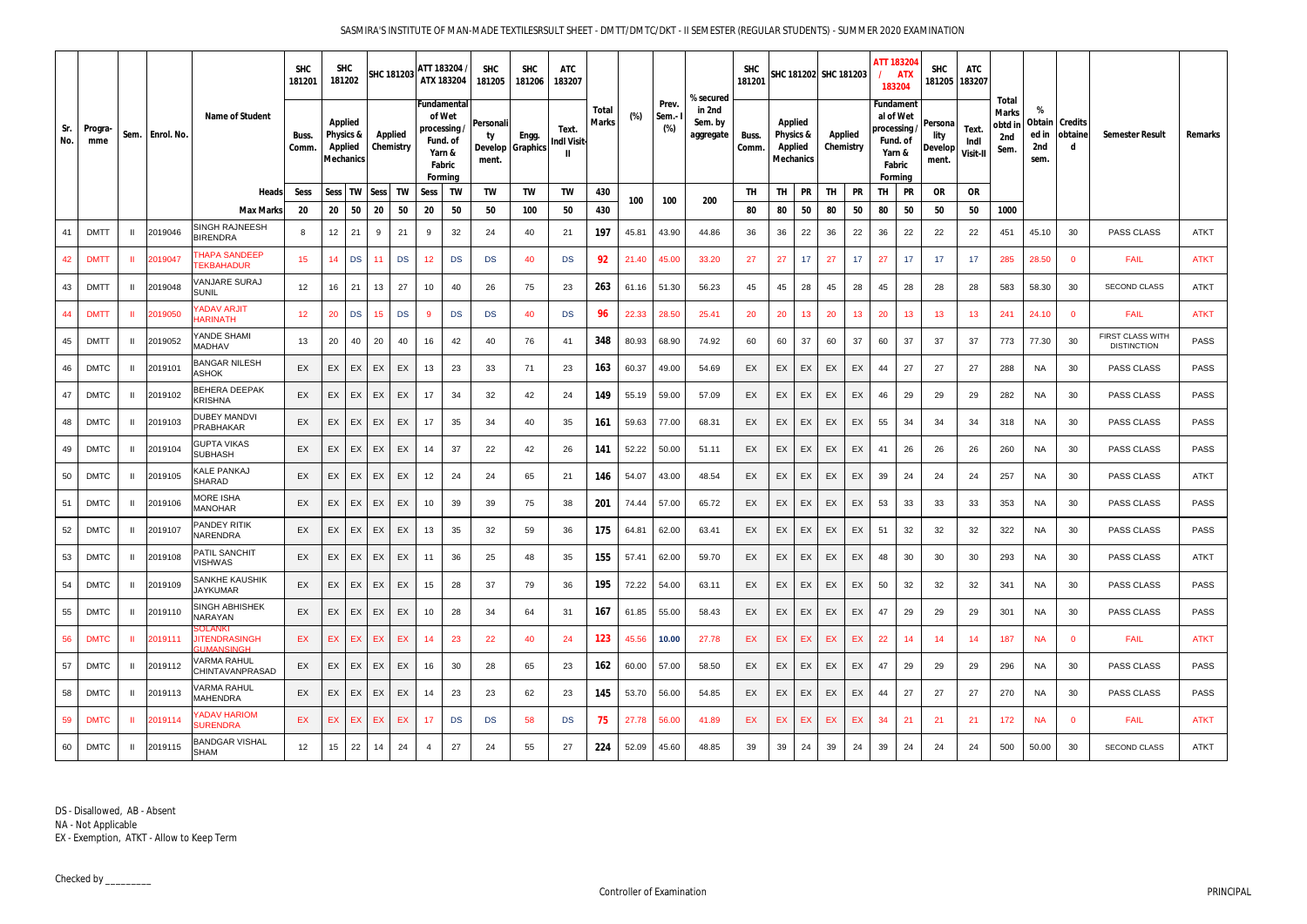|            |                |      |            |                                                      | <b>SHC</b><br>181201 | <b>SHC</b><br>181202                                              |                | <b>SHC 181203</b>           |           | ATT 183204     | ATX 183204                                                                     | <b>SHC</b><br>181205                          | <b>SHC</b><br>181206 | <b>ATC</b><br>183207 |                |       |                          |                                             | <b>SHC</b><br>181201 |    |                                                                   | SHC 181202 SHC 181203       |           | ATT 183204<br>183204                                    | <b>ATX</b>                           | <b>SHC</b>                                 | <b>ATC</b><br>181205 183207 |                                          |                  |                                               |                                        |             |
|------------|----------------|------|------------|------------------------------------------------------|----------------------|-------------------------------------------------------------------|----------------|-----------------------------|-----------|----------------|--------------------------------------------------------------------------------|-----------------------------------------------|----------------------|----------------------|----------------|-------|--------------------------|---------------------------------------------|----------------------|----|-------------------------------------------------------------------|-----------------------------|-----------|---------------------------------------------------------|--------------------------------------|--------------------------------------------|-----------------------------|------------------------------------------|------------------|-----------------------------------------------|----------------------------------------|-------------|
| Sr.<br>No. | Progra-<br>mme | Sem. | Enrol. No. | <b>Name of Student</b>                               | Buss.<br>Comm.       | <b>Applied</b><br>Physics &<br><b>Applied</b><br><b>Mechanics</b> |                | <b>Applied</b><br>Chemistry |           | processing     | Fundamental<br>of Wet<br>Fund. of<br>Yarn &<br><b>Fabric</b><br><b>Forming</b> | Personali<br><b>Develop Graphics</b><br>ment. | Engg.                | Text.<br>Indl Visit- | Total<br>Marks | (%)   | Prev.<br>Sem.-<br>$(\%)$ | % secured<br>in 2nd<br>Sem. by<br>aggregate | Buss.<br>Comm.       |    | <b>Applied</b><br>Physics &<br><b>Applied</b><br><b>Mechanics</b> | <b>Applied</b><br>Chemistry |           | <b>Fundament</b><br>al of Wet<br>processing .<br>Fabric | Fund. of<br>Yarn &<br><b>Forming</b> | Persona<br>lity<br><b>Develop</b><br>ment. | Text<br>Indi<br>Visit-II    | Total<br>Marks<br>obtd in<br>2nd<br>Sem. | %<br>2nd<br>sem. | <b>Obtain   Credits</b><br>ed in obtaine<br>d | <b>Semester Result</b>                 | Remarks     |
|            |                |      |            | Heads                                                | Sess                 | Sess                                                              | <b>TW</b> Sess |                             | TW        | <b>Sess</b>    | TW                                                                             | TW                                            | TW                   | TW                   | 430            | 100   | 100                      | 200                                         | TH                   | TH | <b>PR</b>                                                         | TH                          | <b>PR</b> | TH                                                      | <b>PR</b>                            | <b>OR</b>                                  | <b>OR</b>                   |                                          |                  |                                               |                                        |             |
|            |                |      |            | <b>Max Marks</b>                                     | 20                   | 20                                                                | 50             | 20                          | 50        | 20             | 50                                                                             | 50                                            | 100                  | 50                   | 430            |       |                          |                                             | 80                   | 80 | 50                                                                | 80                          | 50        | 80                                                      | 50                                   | 50                                         | 50                          | 1000                                     |                  |                                               |                                        |             |
| 41         | DMTT           |      | 2019046    | <b>SINGH RAJNEESH</b><br><b>BIRENDRA</b>             | -8                   | 12 <sup>12</sup>                                                  | 21             | 9                           | 21        | 9              | 32                                                                             | 24                                            | 40                   | 21                   | 197            | 45.81 | 43.90                    | 44.86                                       | 36                   | 36 | 22                                                                | -36                         | 22        | 36                                                      | 22                                   | 22                                         | 22                          | 451                                      | 45.10            | 30                                            | <b>PASS CLASS</b>                      | <b>ATKT</b> |
| 42         | DMTT           |      | 2019047    | <b><i>THAPA SANDEEP</i></b><br><b>TEKBAHADUR</b>     | 15                   | 14                                                                | DS             | 11                          | <b>DS</b> | 12             | DS                                                                             | DS                                            | 40                   | DS                   | 92             | 21.40 | 45.00                    | 33.20                                       | 27                   | 27 | 17                                                                | 27                          | 17        | 27                                                      | 17                                   | 17                                         | 17                          | 285                                      | 28.50            | $\mathbf{0}$                                  | <b>FAIL</b>                            | <b>ATKT</b> |
| 43         | DMTT           |      | 2019048    | /ANJARE SURAJ<br><b>SUNIL</b>                        | 12                   | 16                                                                | 21             | 13                          | 27        | 10             | 40                                                                             | 26                                            | 75                   | 23                   | 263            | 61.16 | 51.30                    | 56.23                                       | 45                   | 45 | 28                                                                | 45                          | 28        | 45                                                      | 28                                   | 28                                         | 28                          | 583                                      | 58.30            | 30                                            | SECOND CLASS                           | <b>ATKT</b> |
| 44         | DMTT           |      | 2019050    | <b>YADAV ARJIT</b><br><b>HARINATH</b>                | 12                   | 20                                                                | DS             | 15                          | <b>DS</b> | -9             | DS                                                                             | <b>DS</b>                                     | 40                   | DS                   | 96             | 22.33 | 28.50                    | 25.41                                       | 20                   | 20 | 13 <sup>°</sup>                                                   | 20                          | 13        | 20                                                      | 13                                   | 13                                         | 13                          | 241                                      | 24.10            | $\mathbf{0}$                                  | <b>FAIL</b>                            | <b>ATKT</b> |
| 45         | <b>DMTT</b>    |      | 2019052    | YANDE SHAMI<br><b>MADHAV</b>                         | 13                   | 20                                                                | 40             | 20                          | 40        | 16             | 42                                                                             | 40                                            | 76                   | -41                  | 348            | 80.93 | 68.90                    | 74.92                                       | 60                   | 60 | 37                                                                | 60                          | 37        | 60                                                      | 37                                   | 37                                         | 37                          | 773                                      | 77.30            | 30                                            | FIRST CLASS WITH<br><b>DISTINCTION</b> | PASS        |
| 46         | <b>DMTC</b>    |      | 2019101    | <b>BANGAR NILESH</b><br><b>ASHOK</b>                 | EX                   | EX                                                                | EX             | EX                          | EX        | 13             | 23                                                                             | 33                                            | 71                   | 23                   | 163            | 60.37 | 49.00                    | 54.69                                       | EX                   | EX | EX                                                                | EX                          | EX        | 44                                                      | 27                                   | 27                                         | 27                          | 288                                      | NA.              | 30                                            | <b>PASS CLASS</b>                      | <b>PASS</b> |
| 47         | <b>DMTC</b>    |      | 2019102    | BEHERA DEEPAK<br><b>KRISHNA</b>                      | EX                   | EX                                                                | EX             | EX                          | EX        | 17             | 34                                                                             | 32                                            | 42                   | 24                   | 149            | 55.19 | 59.00                    | 57.09                                       | EX                   | EX | EX                                                                | EX                          | EX        | 46                                                      | 29                                   | 29                                         | 29                          | 282                                      | NA.              | 30                                            | PASS CLASS                             | <b>PASS</b> |
| 48         | <b>DMTC</b>    |      | 2019103    | <b>DUBEY MANDVI</b><br><b>PRABHAKAR</b>              | EX.                  | EX                                                                | EX             | EX                          | EX        | 17             | 35                                                                             | 34                                            | 40                   | 35                   | 161            | 59.63 | 77.00                    | 68.31                                       | EX                   | EX | EX                                                                | EX                          | EX        | 55                                                      | 34                                   | 34                                         | 34                          | 318                                      | NA.              | 30                                            | <b>PASS CLASS</b>                      | PASS        |
| 49         | DMTC           |      | 2019104    | <b>GUPTA VIKAS</b><br><b>SUBHASH</b>                 | EX.                  | EX                                                                | EX             | EX                          | EX        | 14             | 37                                                                             | 22                                            | 42                   | 26                   | 141            | 52.22 | 50.00                    | 51.11                                       | EX                   | EX | EX                                                                | EX                          | EX        | 41                                                      | 26                                   | 26                                         | 26                          | 260                                      | NA.              | 30                                            | PASS CLASS                             | PASS        |
| 50         | DMTC           |      | 2019105    | KALE PANKAJ<br>SHARAD                                | EX.                  | EX                                                                | EX             | EX                          | EX        | 12             | 24                                                                             | 24                                            | 65                   | 21                   | 146            | 54.07 | 43.00                    | 48.54                                       | EX                   | EX | EX                                                                | EX                          | EX        | 39                                                      | 24                                   | 24                                         | 24                          | 257                                      | NA.              | 30                                            | <b>PASS CLASS</b>                      | <b>ATKT</b> |
| 51         | <b>DMTC</b>    |      | 2019106    | <b>MORE ISHA</b><br><b>MANOHAR</b>                   | EX.                  | EX                                                                | EX.            | EX                          | EX        | 10             | 39                                                                             | 39                                            | 75                   | 38                   | 201            | 74.44 | 57.00                    | 65.72                                       | EX                   | EX | EX                                                                | EX                          | EX        | 53                                                      | 33                                   | 33                                         | 33                          | 353                                      | NA               | 30                                            | <b>PASS CLASS</b>                      | <b>PASS</b> |
| 52         | <b>DMTC</b>    |      | 2019107    | PANDEY RITIK<br>NARENDRA                             | EX                   | EX                                                                | EX             | E X                         | EX        | 13             | 35                                                                             | 32                                            | 59                   | 36                   | 175            | 64.81 | 62.00                    | 63.41                                       | EX                   | EX | EX                                                                | EX                          | EX        | 51                                                      | 32                                   | 32                                         | 32                          | 322                                      | NA.              | 30                                            | PASS CLASS                             | <b>PASS</b> |
| 53         | <b>DMTC</b>    |      | 2019108    | PATIL SANCHIT<br><b>VISHWAS</b>                      | EX                   | EX.                                                               | EX.            | EX                          | EX        | 11             | 36                                                                             | 25                                            | 48                   | 35                   | 155            | 57.41 | 62.00                    | 59.70                                       | EX                   | EX | EX                                                                | EX                          | EX        | 48                                                      | 30                                   | 30                                         | 30                          | 293                                      | NA.              | 30                                            | <b>PASS CLASS</b>                      | <b>ATKT</b> |
| 54         | <b>DMTC</b>    |      | 2019109    | SANKHE KAUSHIK<br><b>JAYKUMAR</b>                    | EX.                  | EX                                                                | EX             | EX                          | EX        | 15             | 28                                                                             | 37                                            | 79                   | 36                   | 195            | 72.22 | 54.00                    | 63.11                                       | EX                   | EX | EX                                                                | EX                          | EX        | 50                                                      | 32                                   | 32                                         | 32                          | 341                                      | NA               | 30                                            | <b>PASS CLASS</b>                      | PASS        |
| 55         | DMTC           |      | 2019110    | <b>SINGH ABHISHEK</b><br>NARAYAN                     | EX                   | EX                                                                | EX             | EX                          | EX        | 10             | 28                                                                             | 34                                            | 64                   | -31                  | 167            | 61.85 | 55.00                    | 58.43                                       | EX                   | EX | EX                                                                | EX                          | EX        | 47                                                      | 29                                   | 29                                         | 29                          | 301                                      | NA.              | 30                                            | PASS CLASS                             | <b>PASS</b> |
| 56         | <b>DMTC</b>    |      | 2019111    | SOLANKI<br><b>JITENDRASINGH</b><br><b>HUMANSINGH</b> | EX                   | EX                                                                | EX             | EX                          | EX        | 14             | 23                                                                             | 22                                            | 40                   | 24                   | 123            | 45.56 | 10.00                    | 27.78                                       | EX                   | EX | EX                                                                | EX                          | EX        | 22                                                      | 14                                   | 14                                         | 14                          | 187                                      | NA.              | $\mathbf{0}$                                  | <b>FAIL</b>                            | <b>ATKT</b> |
| 57         | DMTC           |      | 2019112    | <b>VARMA RAHUL</b><br><b>CHINTAVANPRASAD</b>         | EX                   | EX                                                                | EX             | E X                         | EX        | 16             | 30                                                                             | 28                                            | 65                   | 23                   | 162            | 60.00 | 57.00                    | 58.50                                       | EX                   | EX | EX                                                                | EX                          | EX        | 47                                                      | 29                                   | 29                                         | 29                          | 296                                      | NA.              | 30                                            | PASS CLASS                             | <b>PASS</b> |
| 58         | <b>DMTC</b>    |      | 2019113    | <b>VARMA RAHUL</b><br><b>MAHENDRA</b>                | EX                   | EX                                                                | EX             | EX                          | EX        | 14             | 23                                                                             | 23                                            | 62                   | 23                   | 145            | 53.70 | 56.00                    | 54.85                                       | EX                   | EX | EX                                                                | EX                          | EX        | 44                                                      | 27                                   | 27                                         | 27                          | 270                                      | NA.              | 30                                            | PASS CLASS                             | PASS        |
| 59         | <b>DMTC</b>    |      | 2019114    | <b>YADAV HARIOM</b><br><b>SURENDRA</b>               | EX                   | EX                                                                | EX             | EX                          | EX        | 17             | <b>DS</b>                                                                      | DS                                            | 58                   | DS                   | 75             | 27.78 | 56.00                    | 41.89                                       | EX                   | EX | EX                                                                | EX                          | EX        | 34                                                      | 21                                   | 21                                         | 21                          | 172                                      | NA.              | $\mathbf{0}$                                  | <b>FAIL</b>                            | <b>ATKT</b> |
| 60         | <b>DMTC</b>    |      | 2019115    | <b>BANDGAR VISHAL</b><br><b>SHAM</b>                 | 12                   | 15                                                                | 22             | 14                          | 24        | $\overline{4}$ | 27                                                                             | 24                                            | 55                   | 27                   | 224            | 52.09 | 45.60                    | 48.85                                       | 39                   | 39 | 24                                                                | 39                          | 24        | 39                                                      | 24                                   | 24                                         | 24                          | 500                                      | 50.00            | 30                                            | <b>SECOND CLASS</b>                    | ATKT        |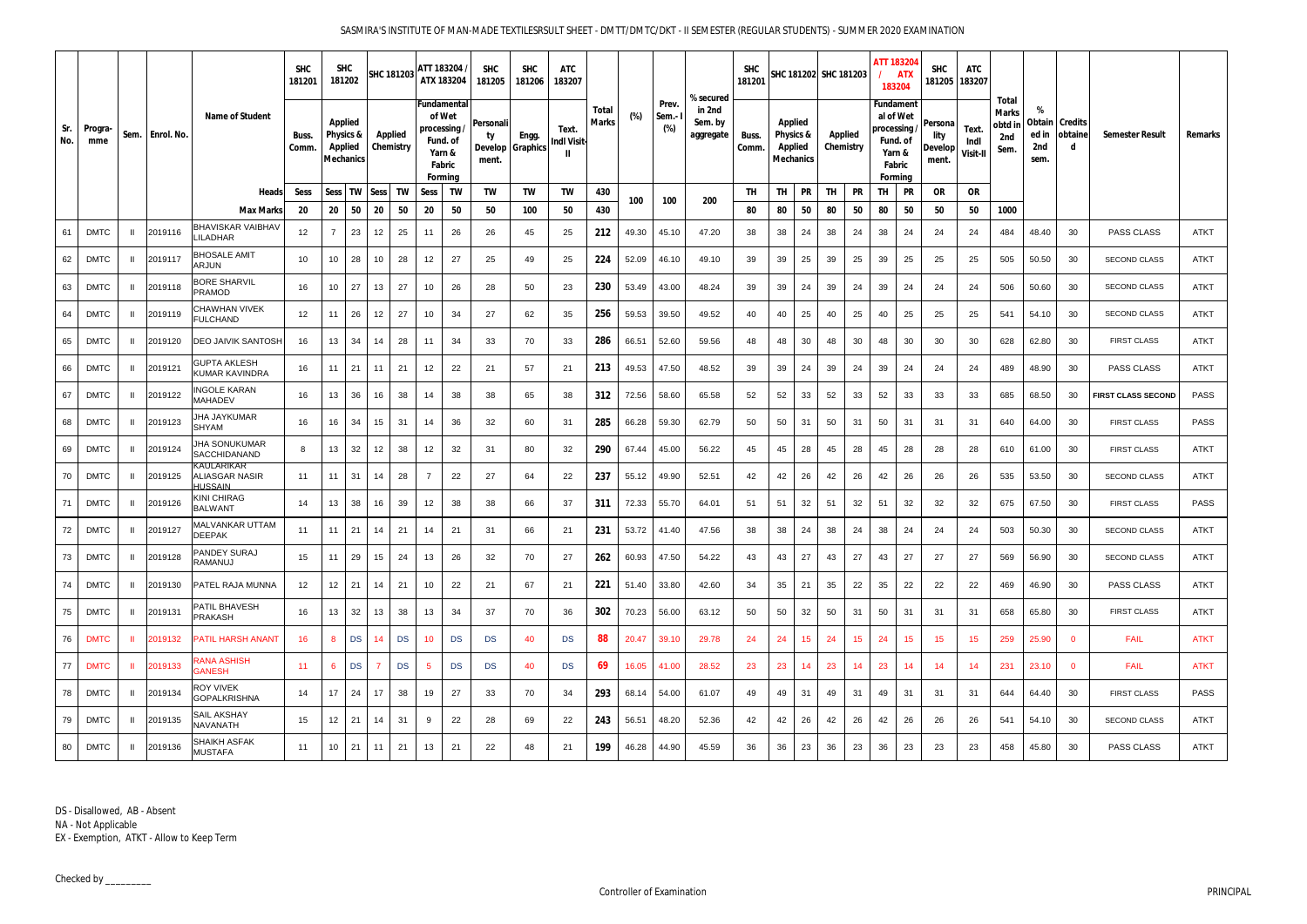|            |                |                   |                                                | <b>SHC</b><br>181201 | <b>SHC</b><br>181202                                              |                                   | <b>SHC 181203</b>           |           | ATT 183204      | ATX 183204                                                                    | <b>SHC</b><br>181205                          | <b>SHC</b><br>181206 | <b>ATC</b><br>183207 |                |       |                      |                                             | <b>SHC</b><br>181201 |    |                                                                   | SHC 181202 SHC 181203 |           | ATT 183204   | <b>ATX</b><br>183204                                                            | <b>SHC</b>                                 | <b>ATC</b><br>181205 183207 |                                          |                  |                                               |                           |             |
|------------|----------------|-------------------|------------------------------------------------|----------------------|-------------------------------------------------------------------|-----------------------------------|-----------------------------|-----------|-----------------|-------------------------------------------------------------------------------|-----------------------------------------------|----------------------|----------------------|----------------|-------|----------------------|---------------------------------------------|----------------------|----|-------------------------------------------------------------------|-----------------------|-----------|--------------|---------------------------------------------------------------------------------|--------------------------------------------|-----------------------------|------------------------------------------|------------------|-----------------------------------------------|---------------------------|-------------|
| Sr.<br>No. | Progra-<br>mme | Sem.   Enrol. No. | <b>Name of Student</b>                         | Buss.<br>Comm.       | <b>Applied</b><br>Physics &<br><b>Applied</b><br><b>Mechanics</b> |                                   | <b>Applied</b><br>Chemistry |           | of Wet          | Fundamental<br>processing .<br>Fund. of<br>Yarn &<br>Fabric<br><b>Forming</b> | Personali<br><b>Develop Graphics</b><br>ment. | Engg.                | Text.<br>Indl Visit- | Total<br>Marks | (%)   | Prev.<br>Sem.<br>(%) | % secured<br>in 2nd<br>Sem. by<br>aggregate | Buss.<br>Comm.       |    | <b>Applied</b><br>Physics &<br><b>Applied</b><br><b>Mechanics</b> | Applied<br>Chemistry  |           | processing . | <b>Fundament</b><br>al of Wet<br>Fund. of<br>Yarn &<br><b>Fabric</b><br>Forming | Persona<br>lity<br><b>Develop</b><br>ment. | Text<br>Indi<br>Visit-II    | Total<br>Marks<br>obtd ir<br>2nd<br>Sem. | %<br>2nd<br>sem. | <b>Obtain   Credits</b><br>ed in obtaine<br>d | <b>Semester Result</b>    | Remarks     |
|            |                |                   | Heads                                          | Sess                 | Sess                                                              | <b>TW</b> Sess                    |                             | TW        | <b>Sess</b>     | TW                                                                            | <b>TW</b>                                     | TW                   | TW                   | 430            | 100   | 100                  | 200                                         | TH.                  | TH | <b>PR</b>                                                         | TH                    | <b>PR</b> | TH           | <b>PR</b>                                                                       | <b>OR</b>                                  | <b>OR</b>                   |                                          |                  |                                               |                           |             |
|            |                |                   | <b>Max Marks</b>                               | 20                   | 20                                                                | 50                                | 20                          | 50        | 20              | 50                                                                            | 50                                            | 100                  | 50                   | 430            |       |                      |                                             | 80                   | 80 | 50                                                                | 80                    | 50        | 80           | 50                                                                              | 50                                         | 50                          | 1000                                     |                  |                                               |                           |             |
| 61         | DMTC           | 2019116           | <b>BHAVISKAR VAIBHAV</b><br><b>LILADHAR</b>    | 12                   |                                                                   | 23                                | 12                          | 25        | 11              | 26                                                                            | 26                                            | 45                   | 25                   | 212            | 49.30 | 45.10                | 47.20                                       | 38                   | 38 | 24                                                                | 38                    | 24        | 38           | 24                                                                              | 24                                         | 24                          | 484                                      | 48.40            | 30                                            | PASS CLASS                | <b>ATKT</b> |
| 62         | <b>DMTC</b>    | 2019117           | <b>BHOSALE AMIT</b><br><b>ARJUN</b>            | 10                   | 10                                                                | 28                                | 10                          | 28        | 12              | 27                                                                            | 25                                            | 49                   | 25                   | 224            | 52.09 | 46.10                | 49.10                                       | 39                   | 39 | 25                                                                | -39                   | 25        | 39           | 25                                                                              | 25                                         | 25                          | 505                                      | 50.50            | 30                                            | <b>SECOND CLASS</b>       | <b>ATKT</b> |
| 63         | <b>DMTC</b>    | 2019118           | <b>BORE SHARVIL</b><br>PRAMOD                  | 16                   | 10                                                                | 27                                | 13                          | 27        | 10              | 26                                                                            | 28                                            | 50                   | 23                   | 230            | 53.49 | 43.00                | 48.24                                       | 39                   | 39 | 24                                                                | 39                    | 24        | 39           | 24                                                                              | 24                                         | 24                          | 506                                      | 50.60            | 30                                            | SECOND CLASS              | ATKT        |
| 64         | <b>DMTC</b>    | 2019119           | CHAWHAN VIVEK<br><b>FULCHAND</b>               | 12                   |                                                                   | 26                                | 12                          | 27        | 10              | 34                                                                            | 27                                            | 62                   | 35                   | 256            | 59.53 | 39.50                | 49.52                                       | 40                   | 40 | 25                                                                | 40                    | 25        | 40           | 25                                                                              | 25                                         | 25                          | 541                                      | 54.10            | 30                                            | <b>SECOND CLASS</b>       | <b>ATKT</b> |
| 65         | DMTC           | 2019120           | <b>DEO JAIVIK SANTOSH</b>                      | 16                   | 13                                                                | 34                                | 14                          | 28        | 11              | 34                                                                            | 33                                            | 70                   | 33                   | 286            | 66.51 | 52.60                | 59.56                                       | 48                   | 48 | 30                                                                | 48                    | 30        | 48           | 30                                                                              | 30                                         | 30                          | 628                                      | 62.80            | 30                                            | <b>FIRST CLASS</b>        | ATKT        |
| 66         | <b>DMTC</b>    | 2019121           | <b>GUPTA AKLESH</b><br><b>KUMAR KAVINDRA</b>   | 16                   | 11                                                                | - 21                              | 11                          | 21        | 12              | 22                                                                            | 21                                            | 57                   | 21                   | 213            | 49.53 | 47.50                | 48.52                                       | 39                   | 39 | 24                                                                | 39                    | 24        | 39           | 24                                                                              | 24                                         | 24                          | 489                                      | 48.90            | 30                                            | <b>PASS CLASS</b>         | <b>ATKT</b> |
| 67         | <b>DMTC</b>    | 2019122           | <b>INGOLE KARAN</b><br><b>MAHADEV</b>          | 16                   | 13                                                                | 36                                | 16                          | 38        | 14              | 38                                                                            | 38                                            | 65                   | 38                   | 312            | 72.56 | 58.60                | 65.58                                       | 52                   | 52 | 33                                                                | 52                    | 33        | 52           | 33                                                                              | 33                                         | 33                          | 685                                      | 68.50            | 30                                            | <b>FIRST CLASS SECOND</b> | PASS        |
| 68         | <b>DMTC</b>    | 2019123           | <b>JHA JAYKUMAR</b><br>SHYAM                   | 16                   | 16                                                                | 34                                | 15                          | 31        | 14              | 36                                                                            | 32                                            | 60                   | -31                  | 285            | 66.28 | 59.30                | 62.79                                       | 50                   | 50 | 31                                                                | 50                    | 31        | 50           | -31                                                                             | 31                                         | 31                          | 640                                      | 64.00            | 30                                            | <b>FIRST CLASS</b>        | PASS        |
| 69         | DMTC           | 2019124           | <b>JHA SONUKUMAR</b><br>SACCHIDANAND           | -8                   | 13                                                                | 32                                | 12 <sup>2</sup>             | 38        | 12              | 32                                                                            | 31                                            | 80                   | 32                   | 290            | 67.44 | 45.00                | 56.22                                       | 45                   | 45 | 28                                                                | 45                    | 28        | 45           | 28                                                                              | 28                                         | 28                          | 610                                      | 61.00            | 30                                            | <b>FIRST CLASS</b>        | <b>ATKT</b> |
| 70         | <b>DMTC</b>    | 2019125           | KAULARIKAR<br><b>ALIASGAR NASIR</b><br>HUSSAIN | 11                   | 11                                                                | -31                               | 14                          | 28        | 7               | 22                                                                            | 27                                            | 64                   | 22                   | 237            | 55.12 | 49.90                | 52.51                                       | 42                   | 42 | 26                                                                | 42                    | 26        | 42           | 26                                                                              | 26                                         | 26                          | 535                                      | 53.50            | 30                                            | <b>SECOND CLASS</b>       | <b>ATKT</b> |
| 71         | <b>DMTC</b>    | 2019126           | KINI CHIRAG<br><b>BALWANT</b>                  | 14                   | 13                                                                | 38                                | 16                          | 39        | 12              | 38                                                                            | 38                                            | 66                   | 37                   | 311            | 72.33 | 55.70                | 64.01                                       | 51                   | 51 | 32                                                                | -51                   | 32        | 51           | 32                                                                              | 32                                         | 32                          | 675                                      | 67.50            | 30                                            | <b>FIRST CLASS</b>        | <b>PASS</b> |
| 72         | <b>DMTC</b>    | 2019127           | MALVANKAR UTTAM<br><b>DEEPAK</b>               | 11                   | 11                                                                | 21                                | 14                          | 21        | 14              | 21                                                                            | 31                                            | 66                   | -21                  | 231            | 53.72 | 41.40                | 47.56                                       | 38                   | 38 | 24                                                                | 38                    | 24        | 38           | 24                                                                              | 24                                         | 24                          | 503                                      | 50.30            | 30                                            | SECOND CLASS              | ATKT        |
| 73         | <b>DMTC</b>    | 2019128           | PANDEY SURAJ<br>RAMANUJ                        | 15                   | 11                                                                | 29                                | 15                          | 24        | 13              | 26                                                                            | 32                                            | 70                   | 27                   | 262            | 60.93 | 47.50                | 54.22                                       | 43                   | 43 | 27                                                                | 43                    | 27        | 43           | 27                                                                              | 27                                         | 27                          | 569                                      | 56.90            | 30                                            | <b>SECOND CLASS</b>       | ATKT        |
| 74         | <b>DMTC</b>    | 2019130           | PATEL RAJA MUNNA                               | 12                   | 12 <sub>1</sub>                                                   | 21                                | 14                          | 21        | 10              | 22                                                                            | 21                                            | 67                   | 21                   | 221            | 51.40 | 33.80                | 42.60                                       | 34                   | 35 | 21                                                                | 35                    | 22        | 35           | 22                                                                              | 22                                         | 22                          | 469                                      | 46.90            | 30                                            | <b>PASS CLASS</b>         | <b>ATKT</b> |
| 75         | <b>DMTC</b>    | 2019131           | PATIL BHAVESH<br><b>PRAKASH</b>                | 16                   | 13                                                                | 32                                | 13                          | 38        | 13              | 34                                                                            | 37                                            | 70                   | 36                   | 302            | 70.23 | 56.00                | 63.12                                       | 50                   | 50 | 32                                                                | 50                    | 31        | 50           | 31                                                                              | 31                                         | 31                          | 658                                      | 65.80            | 30                                            | <b>FIRST CLASS</b>        | <b>ATKT</b> |
| 76         | <b>DMTC</b>    | 2019132           | <b>PATIL HARSH ANANT</b>                       | 16                   | 8                                                                 | <b>DS</b>                         | 14                          | <b>DS</b> | 10 <sup>°</sup> | DS                                                                            | <b>DS</b>                                     | 40                   | <b>DS</b>            | 88             | 20.47 | 39.10                | 29.78                                       | 24                   | 24 | 15 <sub>1</sub>                                                   | 24                    | 15        | 24           | 15                                                                              | 15                                         | 15 <sub>1</sub>             | 259                                      | 25.90            | $\mathbf{0}$                                  | <b>FAIL</b>               | <b>ATKT</b> |
| 77         | <b>DMTC</b>    | 2019133           | <b>RANA ASHISH</b><br><b>GANESH</b>            | 11                   | 6                                                                 | <b>DS</b>                         |                             | <b>DS</b> | -5              | DS                                                                            | <b>DS</b>                                     | 40                   | DS                   | 69             | 16.05 | 41.00                | 28.52                                       | 23                   | 23 | 14                                                                | 23                    | 14        | 23           | 14                                                                              | 14                                         | 14                          | 231                                      | 23.10            | $\mathbf{0}$                                  | <b>FAIL</b>               | <b>ATKT</b> |
| 78         | <b>DMTC</b>    | 2019134           | <b>ROY VIVEK</b><br><b>GOPALKRISHNA</b>        | 14                   | 17                                                                | 24                                | 17                          | 38        | 19              | 27                                                                            | 33                                            | 70                   | 34                   | 293            | 68.14 | 54.00                | 61.07                                       | 49                   | 49 | 31                                                                | 49                    | 31        | 49           | 31                                                                              | 31                                         | 31                          | 644                                      | 64.40            | 30                                            | <b>FIRST CLASS</b>        | PASS        |
| 79         | DMTC           | 2019135           | SAIL AKSHAY<br>NAVANATH                        | 15                   | 12                                                                | 21                                | 14                          | 31        | 9               | 22                                                                            | 28                                            | 69                   | 22                   | 243            | 56.51 | 48.20                | 52.36                                       | 42                   | 42 | 26                                                                | 42                    | 26        | 42           | 26                                                                              | 26                                         | 26                          | 541                                      | 54.10            | 30                                            | <b>SECOND CLASS</b>       | <b>ATKT</b> |
| 80         | <b>DMTC</b>    | 2019136           | <b>SHAIKH ASFAK</b><br><b>MUSTAFA</b>          | 11                   | 10                                                                | $\begin{array}{c} 21 \end{array}$ | 11                          | 21        | 13              | 21                                                                            | 22                                            | 48                   | 21                   | 199            | 46.28 | 44.90                | 45.59                                       | 36                   | 36 | 23                                                                | 36                    | 23        | 36           | 23                                                                              | 23                                         | 23                          | 458                                      | 45.80            | 30                                            | PASS CLASS                | ATKT        |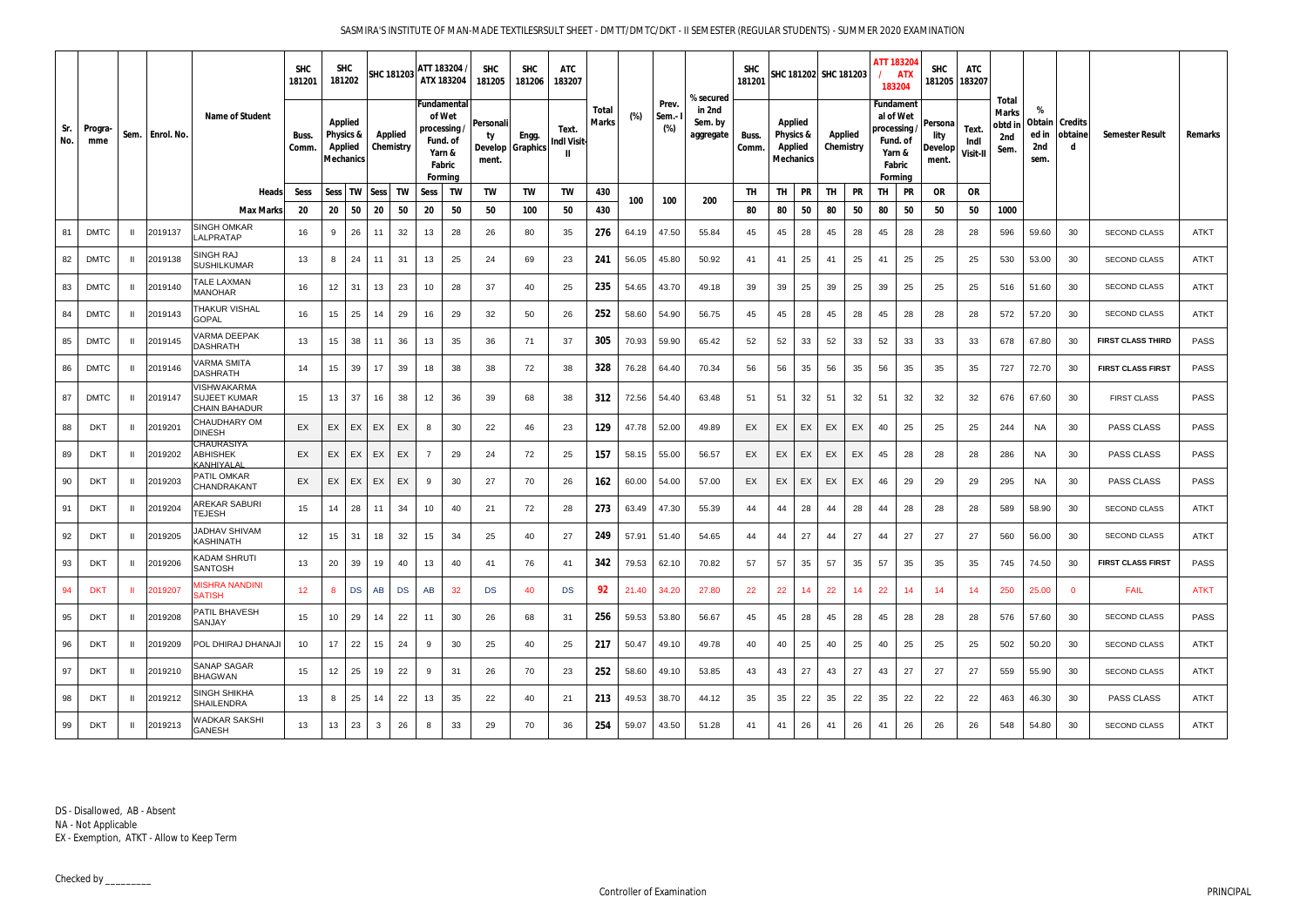## SASMIRA'S INSTITUTE OF MAN-MADE TEXTILESRSULT SHEET - DMTT/DMTC/DKT - II SEMESTER (REGULAR STUDENTS) - SUMMER 2020 EXAMINATION

|            |                |                   |                                                            | <b>SHC</b><br>181201 | <b>SHC</b><br>181202                                                         |              | SHC 181203           |           | ATT 183204             | ATX 183204                                                    | <b>SHC</b><br>181205                         | <b>SHC</b><br>181206 | ATC<br>183207               |                |       |                         |                                             | <b>SHC</b><br>181201 |                                                                   |           | SHC 181202 SHC 181203 |           | ATT 183204<br>183204                                                                     | <b>ATX</b> | <b>SHC</b>                                 | ATC<br>181205 183207            |                                         |                                             |                     |                          |             |
|------------|----------------|-------------------|------------------------------------------------------------|----------------------|------------------------------------------------------------------------------|--------------|----------------------|-----------|------------------------|---------------------------------------------------------------|----------------------------------------------|----------------------|-----------------------------|----------------|-------|-------------------------|---------------------------------------------|----------------------|-------------------------------------------------------------------|-----------|-----------------------|-----------|------------------------------------------------------------------------------------------|------------|--------------------------------------------|---------------------------------|-----------------------------------------|---------------------------------------------|---------------------|--------------------------|-------------|
| Sr.<br>No. | Progra-<br>mme | Sem.   Enrol. No. | <b>Name of Student</b>                                     | Buss.<br>Comm.       | <b>Applied</b><br><b>Physics &amp;</b><br><b>Applied</b><br><b>Mechanics</b> |              | Applied<br>Chemistry |           | of Wet<br>processing / | Fundamental<br>Fund. of<br>Yarn &<br>Fabric<br><b>Forming</b> | Personali<br>ty<br>Develop Graphics<br>ment. | Engg.                | Text.<br><b>Indl Visit-</b> | Total<br>Marks | (%)   | Prev.<br>Sem.<br>$(\%)$ | % secured<br>in 2nd<br>Sem. by<br>aggregate | Buss.<br>Comm.       | <b>Applied</b><br>Physics &<br><b>Applied</b><br><b>Mechanics</b> |           | Applied<br>Chemistry  |           | <b>Fundament</b><br>al of Wet<br>processing .<br>Fund. of<br>Yarn &<br>Fabric<br>Forming |            | Persona<br>lity<br><b>Develop</b><br>ment. | Text<br>Indi<br><b>Visit-II</b> | Total<br>Marks<br>obtd i<br>2nd<br>Sem. | %<br><b>Obtain   Credits</b><br>2nd<br>sem. | ed in Jobtaine<br>d | <b>Semester Result</b>   | Remarks     |
|            |                |                   | Heads                                                      | Sess                 | Sess                                                                         |              | TW Sess              | TW        | <b>Sess</b>            | TW                                                            | TW                                           | TW                   | TW                          | 430            | 100   | 100                     | 200                                         | TH                   | TH                                                                | <b>PR</b> | TH                    | <b>PR</b> | TH                                                                                       | <b>PR</b>  | <b>OR</b>                                  | OR                              |                                         |                                             |                     |                          |             |
|            |                |                   | <b>Max Marks</b>                                           | 20                   | 20                                                                           | 50           | 20                   | 50        | 20                     | 50                                                            | 50                                           | 100                  | 50                          | 430            |       |                         |                                             | 80                   | 80                                                                | 50        | 80                    | 50        | 80                                                                                       | 50         | 50                                         | 50                              | 1000                                    |                                             |                     |                          |             |
| 81         | DMTC           | 2019137           | <b>SINGH OMKAR</b><br>LALPRATAP                            | 16                   | 9                                                                            | 26           | 11                   | 32        | 13                     | 28                                                            | 26                                           | 80                   | 35                          | 276            | 64.19 | 47.50                   | 55.84                                       | 45                   | 45                                                                | 28        | 45                    | 28        | 45                                                                                       | 28         | 28                                         | 28                              | 596                                     | 59.60                                       | 30                  | <b>SECOND CLASS</b>      | ATKT        |
| 82         | DMTC           | 2019138           | <b>SINGH RAJ</b><br><b>SUSHILKUMAR</b>                     | 13                   | 8                                                                            | 24           | 11                   | 31        | 13                     | 25                                                            | 24                                           | 69                   | 23                          | 241            | 56.05 | 45.80                   | 50.92                                       | 41                   | 41                                                                | 25        | -41                   | 25        | 41                                                                                       | 25         | 25                                         | 25                              | 530                                     | 53.00                                       | 30                  | SECOND CLASS             | <b>ATKT</b> |
| 83         | DMTC           | 2019140           | TALE LAXMAN<br><b>MANOHAR</b>                              | 16                   | 12                                                                           | -31          | 13                   | 23        | 10                     | 28                                                            | 37                                           | 40                   | 25                          | 235            | 54.65 | 43.70                   | 49.18                                       | 39                   | 39                                                                | 25        | 39                    | 25        | 39                                                                                       | 25         | 25                                         | 25                              | 516                                     | 51.60                                       | 30                  | <b>SECOND CLASS</b>      | <b>ATKT</b> |
| 84         | <b>DMTC</b>    | 2019143           | THAKUR VISHAL<br><b>GOPAL</b>                              | 16                   | 15                                                                           | 25           | 14                   | 29        | 16                     | 29                                                            | 32                                           | 50                   | 26                          | 252            | 58.60 | 54.90                   | 56.75                                       | 45                   | 45                                                                | 28        | 45                    | 28        | 45                                                                                       | 28         | 28                                         | 28                              | 572                                     | 57.20                                       | 30                  | <b>SECOND CLASS</b>      | <b>ATKT</b> |
| 85         | <b>DMTC</b>    | 2019145           | VARMA DEEPAK<br><b>DASHRATH</b>                            | 13                   | 15                                                                           | 38           | 11                   | 36        | 13                     | 35                                                            | 36                                           | 71                   | 37                          | 305            | 70.93 | 59.90                   | 65.42                                       | 52                   | 52                                                                | 33        | 52                    | 33        | 52                                                                                       | 33         | 33                                         | 33                              | 678                                     | 67.80                                       | 30                  | <b>FIRST CLASS THIRD</b> | <b>PASS</b> |
| 86         | <b>DMTC</b>    | 2019146           | VARMA SMITA<br><b>DASHRATH</b>                             | 14                   | 15                                                                           | 39           | 17                   | 39        | 18                     | 38                                                            | 38                                           | 72                   | 38                          | 328            | 76.28 | 64.40                   | 70.34                                       | 56                   | 56                                                                | 35        | 56                    | 35        | 56                                                                                       | 35         | 35                                         | 35                              | 727                                     | 72.70                                       | 30                  | <b>FIRST CLASS FIRST</b> | PASS        |
| 87         | DMTC           | 2019147           | VISHWAKARMA<br><b>SUJEET KUMAR</b><br><b>CHAIN BAHADUR</b> | 15                   | 13                                                                           | 37           | 16                   | 38        | 12                     | 36                                                            | 39                                           | 68                   | 38                          | 312            | 72.56 | 54.40                   | 63.48                                       | 51                   | 51                                                                | 32        | -51                   | 32        | 51                                                                                       | 32         | 32                                         | 32                              | 676                                     | 67.60                                       | 30                  | <b>FIRST CLASS</b>       | <b>PASS</b> |
| 88         | DKT            | 2019201           | CHAUDHARY OM<br><b>DINESH</b>                              | EX                   | EX                                                                           | EX           | EX                   | EX        |                        | 30                                                            | 22                                           | 46                   | 23                          | 129            | 47.78 | 52.00                   | 49.89                                       | EX                   | EX                                                                | EX        | EX                    | EX        | 40                                                                                       | 25         | 25                                         | 25                              | 244                                     | NA.                                         | 30                  | PASS CLASS               | PASS        |
| 89         | DKT            | 2019202           | <b>CHAURASIYA</b><br><b>ABHISHEK</b><br><b>KANHIYAI AI</b> | EX                   | EX                                                                           | EX           | EX                   | EX        | 7                      | 29                                                            | 24                                           | 72                   | 25                          | 157            | 58.15 | 55.00                   | 56.57                                       | EX                   | EX                                                                | EX        | EX                    | EX        | 45                                                                                       | 28         | 28                                         | 28                              | 286                                     | NA                                          | 30                  | PASS CLASS               | <b>PASS</b> |
| 90         | DKT            | 2019203           | PATIL OMKAR<br>CHANDRAKANT                                 | EX                   | EX                                                                           | EX           | EX                   | EX        | 9                      | 30                                                            | 27                                           | 70                   | 26                          | 162            | 60.00 | 54.00                   | 57.00                                       | EX                   | EX                                                                | EX        | EX                    | EX        | 46                                                                                       | 29         | 29                                         | 29                              | 295                                     | NA.                                         | 30                  | PASS CLASS               | PASS        |
| 91         | DKT            | 2019204           | AREKAR SABURI<br>TEJESH                                    | 15                   | 14                                                                           | 28           | 11                   | 34        | 10                     | 40                                                            | 21                                           | 72                   | 28                          | 273            | 63.49 | 47.30                   | 55.39                                       | 44                   | 44                                                                | 28        | 44                    | 28        | 44                                                                                       | 28         | 28                                         | 28                              | 589                                     | 58.90                                       | 30                  | <b>SECOND CLASS</b>      | <b>ATKT</b> |
| 92         | <b>DKT</b>     | 2019205           | JADHAV SHIVAM<br>KASHINATH                                 | 12                   | 15 <sup>1</sup>                                                              | 31           | 18                   | 32        | 15                     | 34                                                            | 25                                           | 40                   | 27                          | 249            | 57.91 | 51.40                   | 54.65                                       | 44                   | 44                                                                | 27        | 44                    | 27        | 44                                                                                       | 27         | 27                                         | 27                              | 560                                     | 56.00                                       | 30                  | <b>SECOND CLASS</b>      | ATKT        |
| 93         | DKT            | 2019206           | <b>KADAM SHRUTI</b><br><b>SANTOSH</b>                      | 13                   | 20                                                                           | 39           | 19                   | 40        | 13                     | 40                                                            | 41                                           | 76                   | 41                          | 342            | 79.53 | 62.10                   | 70.82                                       | 57                   | 57                                                                | 35        | 57                    | 35        | 57                                                                                       | 35         | 35                                         | 35                              | 745                                     | 74.50                                       | 30                  | <b>FIRST CLASS FIRST</b> | <b>PASS</b> |
| 94         | DKT            | 2019207           | <i><b>IISHRA NANDINI</b></i><br>SATISH                     | 12                   | 8                                                                            | DS           | AB                   | <b>DS</b> | AB                     | 32                                                            | DS.                                          | 40                   | DS                          | 92             | 21.40 | 34.20                   | 27.80                                       | 22                   | 22                                                                | 14        | 22                    | 14        | 22                                                                                       | 14         | 14                                         | 14                              | 250                                     | 25.00                                       | $\mathbf{0}$        | <b>FAIL</b>              | <b>ATKT</b> |
| 95         | DKT            | 2019208           | PATIL BHAVESH<br>SANJAY                                    | 15                   | 10                                                                           | 29           | 14                   | 22        | 11                     | 30                                                            | 26                                           | 68                   | -31                         | 256            | 59.53 | 53.80                   | 56.67                                       | 45                   | 45                                                                | 28        | 45                    | 28        | 45                                                                                       | 28         | 28                                         | 28                              | 576                                     | 57.60                                       | 30                  | <b>SECOND CLASS</b>      | <b>PASS</b> |
| 96         | DKT            | 2019209           | POL DHIRAJ DHANAJI                                         | 10                   | 17                                                                           | 22           | 15                   | 24        | 9                      | 30                                                            | 25                                           | 40                   | 25                          | 217            | 50.47 | 49.10                   | 49.78                                       | 40                   | 40                                                                | 25        | 40                    | 25        | 40                                                                                       | 25         | 25                                         | 25                              | 502                                     | 50.20                                       | 30                  | <b>SECOND CLASS</b>      | ATKT        |
| 97         | <b>DKT</b>     | 2019210           | SANAP SAGAR<br><b>BHAGWAN</b>                              | 15                   |                                                                              | $12 \mid 25$ | 19                   | 22        | 9                      | 31                                                            | 26                                           | 70                   | 23                          | 252            | 58.60 | 49.10                   | 53.85                                       | 43                   | 43                                                                | 27        | 43                    | 27        | 43                                                                                       | 27         | 27                                         | 27                              | 559                                     | 55.90                                       | 30                  | <b>SECOND CLASS</b>      | ATKT        |
| 98         | DKT            | 2019212           | <b>SINGH SHIKHA</b><br><b>SHAILENDRA</b>                   | 13                   | 8                                                                            | 25           | 14                   | 22        | 13                     | 35                                                            | 22                                           | 40                   | 21                          | 213            | 49.53 | 38.70                   | 44.12                                       | 35                   | 35                                                                | 22        | 35                    | 22        | 35                                                                                       | 22         | 22                                         | 22                              | 463                                     | 46.30                                       | 30                  | PASS CLASS               | ATKT        |
| 99         | DKT            | 2019213           | <b>WADKAR SAKSHI</b><br><b>GANESH</b>                      | 13                   | 13                                                                           | 23           | $\mathbf{3}$         | 26        | 8                      | 33                                                            | 29                                           | 70                   | 36                          | 254            | 59.07 | 43.50                   | 51.28                                       | 41                   | 41                                                                | 26        | 41                    | 26        | 41                                                                                       | 26         | 26                                         | 26                              | 548                                     | 54.80                                       | 30                  | <b>SECOND CLASS</b>      | ATKT        |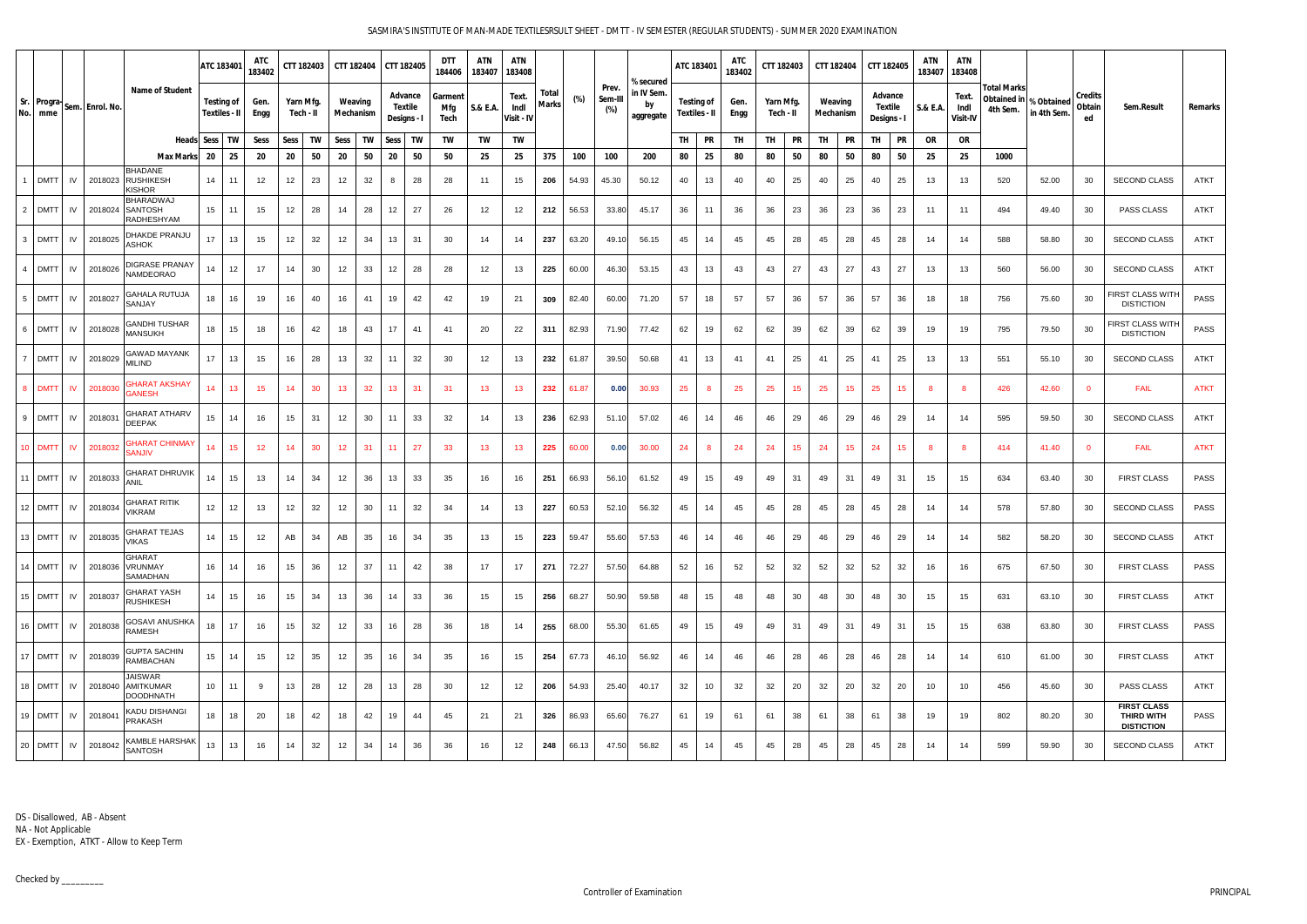## SASMIRA'S INSTITUTE OF MAN-MADE TEXTILESRSULT SHEET - DMTT - IV SEMESTER (REGULAR STUDENTS) - SUMMER 2020 EXAMINATION

|                        |           |                    |                                                  | ATC 183401                                | 183402       |                 | CTT 182403   CTT 182404 |    |                      |    | CTT 182405                             |    | DTT<br>184406          | ATN<br>183407 | <b>ATN</b><br>183408        |                       |       |                         |                                            | ATC 183401                         |                 | ATC<br>183402 | CTT 182403             |                  | CTT 182404           |                 | CTT 182405                        |                  | <b>ATN</b><br>183407 | <b>ATN</b><br>183408             |                                |                                           |                         |                                                       |             |
|------------------------|-----------|--------------------|--------------------------------------------------|-------------------------------------------|--------------|-----------------|-------------------------|----|----------------------|----|----------------------------------------|----|------------------------|---------------|-----------------------------|-----------------------|-------|-------------------------|--------------------------------------------|------------------------------------|-----------------|---------------|------------------------|------------------|----------------------|-----------------|-----------------------------------|------------------|----------------------|----------------------------------|--------------------------------|-------------------------------------------|-------------------------|-------------------------------------------------------|-------------|
| Sr. Progra-<br>No. mme |           | Sem. Enrol. No.    | <b>Name of Student</b>                           | <b>Testing of</b><br><b>Textiles - II</b> | Gen.<br>Engg |                 | Yarn Mfg.<br>Tech - II  |    | Weaving<br>Mechanism |    | Advance<br><b>Textile</b><br>Designs - |    | Garment<br>Mfg<br>Tech | S.& E.A.      | Text.<br>Indi<br>Visit - IV | Total<br><b>Marks</b> | (%)   | Prev.<br>Sem-III<br>(%) | % secured<br>in IV Sem.<br>by<br>aggregate | Testing of<br><b>Textiles - II</b> |                 | Gen.<br>Engg  | Yarn Mfq.<br>Tech - II |                  | Weaving<br>Mechanism |                 | Advance<br>Textile<br>Designs - I |                  | S.& E.A.             | Text.<br>Indl<br><b>Visit-IV</b> | <b>Total Marks</b><br>4th Sem. | Obtained in   % Obtained  <br>in 4th Sem. | Credits<br>Obtain<br>ed | Sem.Result                                            | Remarks     |
|                        |           |                    |                                                  | Heads Sess TW                             | Sess         |                 | <b>TW</b><br>Sess       |    | Sess                 | TW | Sess                                   | TW | TW                     | TW            | TW                          |                       |       |                         |                                            | TH                                 | PR              | TH            | TH                     | <b>PR</b>        | TH                   | <b>PR</b>       | TH                                | PR               | OR                   | OR                               |                                |                                           |                         |                                                       |             |
|                        |           |                    | Max Marks 20                                     | 25                                        | 20           |                 | 20                      | 50 | 20                   | 50 | 20                                     | 50 | 50                     | 25            | 25                          | 375                   | 100   | 100                     | 200                                        | 80                                 | 25              | 80            | 80                     | 50               | 80                   | 50              | 80                                | 50               | 25                   | 25                               | 1000                           |                                           |                         |                                                       |             |
| DMTT                   | IV        | 2018023            | <b>BHADANE</b><br><b>RUSHIKESH</b><br>KISHOR     | 14<br>11                                  | 12           |                 | 12                      | 23 | 12                   | 32 | - 8                                    | 28 | 28                     | 11            | 15                          | 206                   | 54.93 | 45.30                   | 50.12                                      | 40                                 | 13              | 40            | 40                     | 25               | 40                   | 25              | 40                                | 25               | 13                   | 13                               | 520                            | 52.00                                     | 30                      | SECOND CLASS                                          | ATKT        |
| 2 DMTT                 | IV        | 2018024            | <b>BHARADWAJ</b><br><b>SANTOSH</b><br>RADHESHYAM | 15<br>11                                  | 15           |                 | 12                      | 28 | 14                   | 28 | 12                                     | 27 | 26                     | 12            | 12 <sup>°</sup>             | 212                   | 56.53 | 33.80                   | 45.17                                      | 36                                 | 11              | 36            | 36                     | 23               | 36                   | 23              | 36                                | 23               | 11                   | 11                               | 494                            | 49.40                                     | 30                      | PASS CLASS                                            | <b>ATKT</b> |
| 3 DMTT IV              |           | 2018025            | DHAKDE PRANJU<br>ASHOK                           | 17<br>13                                  | 15           |                 | 12                      | 32 | 12                   | 34 | 13                                     | 31 | 30                     | 14            | 14                          | 237                   | 63.20 | 49.10                   | 56.15                                      | 45                                 | 14              | 45            | 45                     | 28               | 45                   | 28              | 45                                | 28               | 14                   | 14                               | 588                            | 58.80                                     | 30                      | <b>SECOND CLASS</b>                                   | <b>ATKT</b> |
| 4 DMTT                 | IV        | 2018026            | <b>DIGRASE PRANAY</b><br>NAMDEORAO               | 14<br>12                                  | 17           |                 | 14                      | 30 | 12                   | 33 | 12                                     | 28 | 28                     | 12            | 13                          | 225                   | 60.00 | 46.30                   | 53.15                                      | 43                                 | 13              | 43            | 43                     | 27               | 43                   | 27              | 43                                | 27               | 13                   | 13                               | 560                            | 56.00                                     | 30                      | <b>SECOND CLASS</b>                                   | ATKT        |
| 5 DMTT                 | IV        | 2018027            | GAHALA RUTUJA<br>SANJAY                          | 18<br>16                                  |              | 19              | 16                      | 40 | 16                   | 41 | 19                                     | 42 | 42                     | 19            | 21                          | 309                   | 82.40 | 60.00                   | 71.20                                      | 57                                 | 18              | 57            | 57                     | 36               | 57                   | 36              | 57                                | 36               | 18                   | 18                               | 756                            | 75.60                                     | 30                      | FIRST CLASS WITH<br><b>DISTICTION</b>                 | PASS        |
| 6 DMTT                 | IV        | 2018028            | <b>GANDHI TUSHAR</b><br>MANSUKH                  | 18<br>15                                  | 18           |                 | 16                      | 42 | 18                   | 43 | 17                                     | 41 | 41                     | 20            | 22                          | 311                   | 82.93 | 71.90                   | 77.42                                      | 62                                 | 19              | 62            | 62                     | 39               | 62                   | 39              | 62                                | 39               | 19                   | 19                               | 795                            | 79.50                                     | 30                      | FIRST CLASS WITH<br><b>DISTICTION</b>                 | <b>PASS</b> |
| 7 DMTT                 | IV        | 2018029            | <b>GAWAD MAYANK</b><br><b>MILIND</b>             | 17<br>13                                  | 15           |                 | 16                      | 28 | 13                   | 32 | 11                                     | 32 | 30                     | 12            | 13                          | 232                   | 61.87 | 39.50                   | 50.68                                      | 41                                 | 13              | 41            | 41                     | 25               | 41                   | 25              | 41                                | 25               | 13                   | 13                               | 551                            | 55.10                                     | 30                      | SECOND CLASS                                          | ATKT        |
| 8 DMTT                 | <b>IV</b> | 2018030            | <b>GHARAT AKSHAY</b><br><b>GANESH</b>            | 14<br>13                                  |              | 15              | 14                      | 30 | 13                   | 32 | 13                                     | 31 | 31                     | 13            | 13 <sup>°</sup>             | 232                   | 61.87 | 0.00                    | 30.93                                      | 25                                 | 8               | 25            | 25                     | 15 <sub>15</sub> | 25                   | 15 <sub>1</sub> | 25                                | 15               | -8                   | -8                               | 426                            | 42.60                                     | $\overline{\mathbf{0}}$ | <b>FAIL</b>                                           | <b>ATKT</b> |
| 9 DMTT                 | IV        | 2018031            | <b>GHARAT ATHARV</b><br><b>DEEPAK</b>            | 15<br>14                                  |              | 16              | 15<br>31                |    | 12                   | 30 | 11                                     | 33 | 32                     | 14            | 13                          | 236                   | 62.93 | 51.10                   | 57.02                                      | 46                                 | 14              | 46            | 46                     | 29               | 46                   | 29              | 46                                | 29               | 14                   | 14                               | 595                            | 59.50                                     | 30                      | SECOND CLASS                                          | <b>ATKT</b> |
| 10 DMTT                | <b>IV</b> | 2018032            | <b>GHARAT CHINMAY</b><br>SANJIV                  | 14<br>15                                  |              | 12 <sup>2</sup> | 14                      | 30 | 12                   | 31 | 11                                     | 27 | 33                     | 13            | 13 <sup>°</sup>             | 225                   | 60.00 | 0.00                    | 30.00                                      | 24                                 | 8               | 24            | 24                     | 15 <sub>1</sub>  | 24                   | 15 <sub>1</sub> | 24                                | 15 <sub>15</sub> | -8                   | -8                               | 414                            | 41.40                                     | $\overline{\mathbf{0}}$ | <b>FAIL</b>                                           | <b>ATKT</b> |
| 11 DMTT IV             |           | 2018033            | <b>GHARAT DHRUVIK</b><br>ANIL                    | 14<br>15                                  | 13           |                 | 14                      | 34 | 12                   | 36 | 13                                     | 33 | 35                     | 16            | 16                          | 251                   | 66.93 | 56.10                   | 61.52                                      | 49                                 | 15              | 49            | 49                     | 31               | 49                   | 31              | 49                                | 31               | 15                   | 15                               | 634                            | 63.40                                     | 30                      | <b>FIRST CLASS</b>                                    | PASS        |
| 12 DMTT                | IV        | 2018034            | <b>GHARAT RITIK</b><br>VIKRAM                    | 12<br>12                                  | 13           |                 | 12                      | 32 | 12                   | 30 | 11                                     | 32 | 34                     | 14            | 13                          | 227                   | 60.53 | 52.10                   | 56.32                                      | 45                                 | 14              | 45            | 45                     | 28               | 45                   | 28              | 45                                | 28               | 14                   | 14                               | 578                            | 57.80                                     | 30                      | <b>SECOND CLASS</b>                                   | PASS        |
|                        |           | 13 DMTT IV 2018035 | <b>GHARAT TEJAS</b><br>/IKAS                     | 14<br>15                                  |              | 12              | AB                      | 34 | AB                   | 35 | 16                                     | 34 | 35                     | 13            | 15                          | 223                   | 59.47 | 55.60                   | 57.53                                      | 46                                 | 14              | 46            | 46                     | 29               | 46                   | 29              | 46                                | 29               | 14                   | 14                               | 582                            | 58.20                                     | 30                      | SECOND CLASS                                          | <b>ATKT</b> |
| 14 DMTT IV             |           | 2018036            | <b>GHARAT</b><br><b>VRUNMAY</b><br>SAMADHAN      | 16<br>14                                  | 16           |                 | 15                      | 36 | 12                   | 37 | 11                                     | 42 | 38                     | 17            | 17                          | 271                   | 72.27 | 57.50                   | 64.88                                      | 52                                 | 16              | 52            | 52                     | 32               | 52                   | 32              | 52                                | 32               | 16                   | 16                               | 675                            | 67.50                                     | 30                      | <b>FIRST CLASS</b>                                    | PASS        |
| 15 DMTT                | IV        | 2018037            | GHARAT YASH<br>RUSHIKESH                         | 14<br>15                                  |              | 16              | 15                      | 34 | 13                   | 36 | 14                                     | 33 | 36                     | 15            | 15                          | 256                   | 68.27 | 50.90                   | 59.58                                      | 48                                 | 15              | 48            | 48                     | 30               | 48                   | 30              | 48                                | 30               | 15                   | 15                               | 631                            | 63.10                                     | 30                      | <b>FIRST CLASS</b>                                    | ATKT        |
| 16 DMTT IV             |           | 2018038            | <b>GOSAVI ANUSHKA</b><br><b>RAMESH</b>           | 18<br>17                                  |              | 16              | 15                      | 32 | 12                   | 33 | 16                                     | 28 | 36                     | 18            | 14                          | 255                   | 68.00 | 55.30                   | 61.65                                      | 49                                 | 15              | 49            | 49                     | 31               | 49                   | 31              | 49                                | 31               | 15                   | 15                               | 638                            | 63.80                                     | 30                      | <b>FIRST CLASS</b>                                    | PASS        |
| 17 DMTT IV             |           | 2018039            | <b>GUPTA SACHIN</b><br><b>RAMBACHAN</b>          | 15<br>14                                  |              | 15              | 12                      | 35 | 12                   | 35 | 16                                     | 34 | 35                     | 16            | 15                          | 254                   | 67.73 | 46.10                   | 56.92                                      | 46                                 | 14              | 46            | 46                     | 28               | 46                   | 28              | 46                                | 28               | 14                   | 14                               | 610                            | 61.00                                     | 30                      | <b>FIRST CLASS</b>                                    | ATKT        |
| 18 DMTT IV             |           |                    | JAISWAR<br>2018040 AMITKUMAR<br><b>DOODHNATH</b> | 10<br>11                                  | -9           |                 | 13<br>28                |    | 12                   | 28 | 13                                     | 28 | 30                     | 12            | 12                          | 206                   | 54.93 | 25.40                   | 40.17                                      | 32                                 | 10 <sup>°</sup> | 32            | 32                     | 20               | 32                   | 20              | 32                                | 20               | 10                   | 10                               | 456                            | 45.60                                     | 30                      | PASS CLASS                                            | <b>ATKT</b> |
| 19 DMTT                | IV        | 2018041            | <b>KADU DISHANGI</b><br><b>PRAKASH</b>           | 18<br>18                                  | 20           |                 | 18                      | 42 | 18                   | 42 | 19                                     | 44 | 45                     | 21            | 21                          | 326                   | 86.93 | 65.60                   | 76.27                                      | 61                                 | 19              | 61            | 61                     | 38               | 61                   | 38              | 61                                | 38               | 19                   | 19                               | 802                            | 80.20                                     | 30                      | <b>FIRST CLASS</b><br>THIRD WITH<br><b>DISTICTION</b> | <b>PASS</b> |
| 20 DMTT IV             |           | 2018042            | <b>KAMBLE HARSHAK</b><br><b>SANTOSH</b>          | 13<br>13                                  |              | 16              | 14                      | 32 | 12                   | 34 | 14                                     | 36 | 36                     | 16            | 12                          | 248                   | 66.13 | 47.50                   | 56.82                                      | 45                                 | 14              | 45            | 45                     | 28               | 45                   | 28              | 45                                | 28               | 14                   | 14                               | 599                            | 59.90                                     | 30                      | <b>SECOND CLASS</b>                                   | ATKT        |

NA - Not Applicable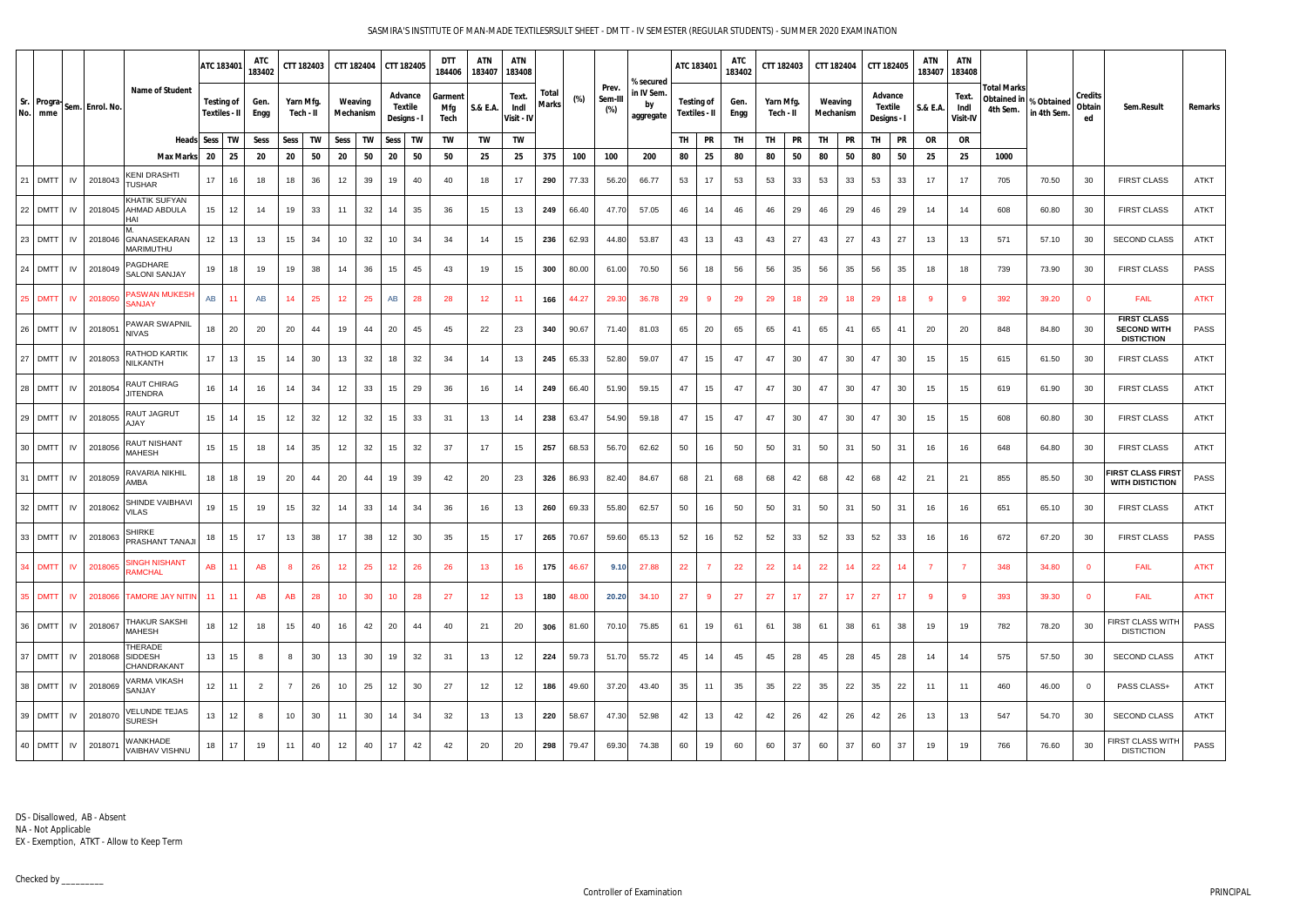## SASMIRA'S INSTITUTE OF MAN-MADE TEXTILESRSULT SHEET - DMTT - IV SEMESTER (REGULAR STUDENTS) - SUMMER 2020 EXAMINATION

|     |            |           |                                    |                                                    | ATC 183401 |                                    | 183402         |                | CTT 182403             | <b>CTT 182404</b> |           | CTT 182405      |                    | DTT<br>184406          | ATN<br>183407   | ATN<br>183408               |                       |       |                         |                                            | ATC 183401                         |                | ATC<br>183402 | <b>CTT 182403</b>      |           | CTT 182404           |     | CTT 182405                        |                 | ATN<br>183407 | <b>ATN</b><br>183408     |                                |                                           |                         |                                                               |             |
|-----|------------|-----------|------------------------------------|----------------------------------------------------|------------|------------------------------------|----------------|----------------|------------------------|-------------------|-----------|-----------------|--------------------|------------------------|-----------------|-----------------------------|-----------------------|-------|-------------------------|--------------------------------------------|------------------------------------|----------------|---------------|------------------------|-----------|----------------------|-----|-----------------------------------|-----------------|---------------|--------------------------|--------------------------------|-------------------------------------------|-------------------------|---------------------------------------------------------------|-------------|
| No. | mme        |           | Sr. Progra Sem. Enrol. No. 1       | <b>Name of Student</b>                             |            | <b>Testing of</b><br>Textiles - II | Gen.<br>Engg   |                | Yarn Mfg.<br>Tech - II | Weaving           | Mechanism | Designs -       | Advance<br>Textile | Garment<br>Mfg<br>Tech | S.& E.A.        | Text.<br>Indl<br>Visit - IV | Total<br><b>Marks</b> | (%)   | Prev.<br>Sem-III<br>(%) | % secured<br>in IV Sem.<br>by<br>aggregate | Testing of<br><b>Textiles - II</b> |                | Gen.<br>Engg  | Yarn Mfg.<br>Tech - II |           | Weaving<br>Mechanism |     | Advance<br>Textile<br>Designs - I |                 | S.& E.A.      | Text<br>Indl<br>Visit-IV | <b>Total Marks</b><br>4th Sem. | Obtained in   % Obtained '<br>in 4th Sem. | Credits<br>Obtain<br>ed | Sem.Result                                                    | Remarks     |
|     |            |           |                                    | Heads Sess TW                                      |            |                                    | Sess           | Sess           | TW                     | Sess              | TW        | Sess            | TW                 | TW                     | TW              | TW                          |                       |       |                         |                                            | TH                                 | <b>PR</b>      | TH            | TH                     | <b>PR</b> | TH                   | PR  | TH                                | <b>PR</b>       | OR            | OR                       |                                |                                           |                         |                                                               |             |
|     |            |           |                                    | Max Marks 20                                       |            | 25                                 | 20             | 20             | 50                     | 20                | 50        | 20              | 50                 | 50                     | 25              | 25                          | 375                   | 100   | 100                     | 200                                        | 80                                 | 25             | 80            | 80                     | 50        | 80                   | 50  | 80                                | 50              | 25            | 25                       | 1000                           |                                           |                         |                                                               |             |
|     | 21 DMTT    | IV        | 2018043                            | <b>KENI DRASHTI</b><br><b>TUSHAR</b>               | 17         | 16                                 | 18             | 18             | 36                     | 12                | 39        | 19              | 40                 | 40                     | 18              | 17                          | 290                   | 77.33 | 56.20                   | 66.77                                      | 53                                 | 17             | 53            | 53                     | 33        | 53                   | 33  | 53                                | 33              | 17            | 17                       | 705                            | 70.50                                     | 30                      | <b>FIRST CLASS</b>                                            | ATKT        |
|     | 22 DMTT    | IV        | 2018045                            | <b>KHATIK SUFYAN</b><br><b>AHMAD ABDULA</b><br>HAI | 15         | 12                                 | 14             | 19             | 33                     | 11                | 32        | 14              | 35                 | 36                     | 15              | 13                          | 249                   | 66.40 | 47.70                   | 57.05                                      | 46                                 | 14             | 46            | 46                     | 29        | 46                   | 29  | 46                                | 29              | 14            | 14                       | 608                            | 60.80                                     | 30                      | <b>FIRST CLASS</b>                                            | ATKT        |
|     | 23 DMTT    | IV        | 2018046                            | GNANASEKARAN<br><b>MARIMUTHU</b>                   | 12         | 13                                 | 13             | 15             | 34                     | 10                | 32        | 10 <sup>1</sup> | 34                 | 34                     | 14              | 15                          | 236                   | 62.93 | 44.80                   | 53.87                                      | 43                                 | 13             | 43            | 43                     | 27        | 43                   | 27  | 43                                | 27              | 13            | 13                       | 571                            | 57.10                                     | 30                      | <b>SECOND CLASS</b>                                           | ATKT        |
|     | 24 DMTT IV |           | 2018049                            | PAGDHARE<br><b>SALONI SANJAY</b>                   | 19         | 18                                 | 19             | 19             | 38                     | 14                | 36        | 15              | 45                 | 43                     | 19              | 15                          | 300                   | 80.00 | 61.00                   | 70.50                                      | 56                                 | 18             | 56            | 56                     | 35        | 56                   | 35  | 56                                | 35              | 18            | 18                       | 739                            | 73.90                                     | 30                      | <b>FIRST CLASS</b>                                            | <b>PASS</b> |
|     | 25 DMTT    | <b>IV</b> | 2018050                            | <b>PASWAN MUKESH</b><br><b>SANJAY</b>              | AB         | 11                                 | AB             | 14             | 25                     | 12                | 25        | AB              | 28                 | 28                     | 12              | 11                          | 166                   | 44.27 | 29.30                   | 36.78                                      | 29                                 | 9              | 29            | 29                     | 18        | 29                   | 18  | 29                                | 18              | -9            | -9                       | 392                            | 39.20                                     | $\overline{0}$          | <b>FAIL</b>                                                   | <b>ATKT</b> |
|     | 26 DMTT    | IV        | 2018051                            | PAWAR SWAPNIL<br><b>NIVAS</b>                      | 18         | 20                                 | 20             | 20             | 44                     | 19                | 44        | 20              | 45                 | 45                     | 22              | 23                          | 340                   | 90.67 | 71.40                   | 81.03                                      | 65                                 | 20             | 65            | 65                     | 41        | 65                   | 41  | 65                                | 41              | 20            | 20                       | 848                            | 84.80                                     | 30                      | <b>FIRST CLASS</b><br><b>SECOND WITH</b><br><b>DISTICTION</b> | PASS        |
|     | 27 DMTT IV |           | 2018053                            | RATHOD KARTIK<br><b>NILKANTH</b>                   | 17         | 13                                 | 15             | 14             | 30                     | 13                | 32        | 18              | 32                 | 34                     | 14              | 13                          | 245                   | 65.33 | 52.80                   | 59.07                                      | 47                                 | 15             | 47            | 47                     | 30        | 47                   | 30  | 47                                | 30              | 15            | 15                       | 615                            | 61.50                                     | 30                      | <b>FIRST CLASS</b>                                            | ATKT        |
|     | 28 DMTT    | IV        | 2018054                            | <b>RAUT CHIRAG</b><br><b>JITENDRA</b>              | 16         | 14                                 | 16             | 14             | 34                     | $12 \overline{ }$ | 33        | 15              | 29                 | 36                     | 16              | 14                          | 249                   | 66.40 | 51.90                   | 59.15                                      | 47                                 | 15             | 47            | 47                     | 30        | 47                   | 30  | 47                                | 30              | 15            | 15                       | 619                            | 61.90                                     | 30                      | <b>FIRST CLASS</b>                                            | ATKT        |
|     | 29 DMTT    | IV        | 2018055                            | RAUT JAGRUT<br>AJAY                                | 15         | 14                                 | 15             | 12             | 32                     | 12                | 32        | 15 <sub>1</sub> | 33                 | 31                     | 13              | 14                          | 238                   | 63.47 | 54.90                   | 59.18                                      | 47                                 | 15             | 47            | 47                     | 30        | 47                   | 30  | 47                                | 30              | 15            | 15                       | 608                            | 60.80                                     | 30                      | <b>FIRST CLASS</b>                                            | <b>ATKT</b> |
|     | 30 DMTT    | IV        | 2018056                            | <b>RAUT NISHANT</b><br><b>MAHESH</b>               | 15         | 15                                 | 18             | 14             | 35                     | 12                | 32        | 15              | 32                 | 37                     | 17              | 15                          | 257                   | 68.53 | 56.70                   | 62.62                                      | 50                                 | 16             | 50            | 50                     | 31        | 50                   | 31  | 50                                | 31              | 16            | 16                       | 648                            | 64.80                                     | 30                      | <b>FIRST CLASS</b>                                            | <b>ATKT</b> |
|     |            |           | 31 DMTT   IV   2018059             | <b>RAVARIA NIKHIL</b><br>AMBA                      | 18         | 18                                 | 19             | 20             | 44                     | 20                | 44        | 19              | 39                 | 42                     | 20              | 23                          | 326                   | 86.93 | 82.40                   | 84.67                                      | 68                                 | 21             | 68            | 68                     | 42        | 68                   | 42  | 68                                | 42              | 21            | 21                       | 855                            | 85.50                                     | 30                      | FIRST CLASS FIRST<br><b>WITH DISTICTION</b>                   | PASS        |
|     | 32 DMTT    | IV        | 2018062                            | SHINDE VAIBHAVI<br>VILAS                           | 19         | 15                                 | 19             | 15             | 32                     | 14                | 33        | 14              | 34                 | 36                     | 16              | 13                          | 260                   | 69.33 | 55.80                   | 62.57                                      | 50                                 | 16             | 50            | 50                     | 31        | 50                   | -31 | 50                                | 31              | 16            | 16                       | 651                            | 65.10                                     | 30                      | <b>FIRST CLASS</b>                                            | ATKT        |
|     |            |           | 33 DMTT IV 2018063                 | SHIRKE<br>PRASHANT TANAJI                          | 18         | 15                                 | 17             | 13             | 38                     | 17                | 38        | 12              | 30                 | 35                     | 15              | 17                          | 265                   | 70.67 | 59.60                   | 65.13                                      | 52                                 | 16             | 52            | 52                     | 33        | 52                   | 33  | 52                                | 33              | 16            | 16                       | 672                            | 67.20                                     | 30                      | <b>FIRST CLASS</b>                                            | PASS        |
|     | 34 DMTT    | IV        | 2018065                            | <b>SINGH NISHANT</b><br><b>RAMCHAL</b>             | AB         | 11                                 | AB             | $8^{\circ}$    | 26                     | 12                | 25        | 12 <sup>7</sup> | 26                 | 26                     | 13              | 16                          | 175                   | 46.67 | 9.10                    | 27.88                                      | 22                                 | $\overline{7}$ | 22            | 22                     | 14        | 22                   | 14  | 22                                | 14              | - 7           | -7                       | 348                            | 34.80                                     | $\overline{0}$          | <b>FAIL</b>                                                   | ATKT        |
|     | 35 DMTT    | <b>IV</b> |                                    | 2018066 TAMORE JAY NITIN                           | 11         | 11                                 | <b>AB</b>      | <b>AB</b>      | 28                     | 10 <sup>°</sup>   | 30        | 10 <sup>°</sup> | 28                 | 27                     | 12 <sup>2</sup> | 13                          | 180                   | 48.00 | 20.20                   | 34.10                                      | 27                                 | 9              | 27            | 27                     | 17        | 27                   | 17  | 27                                | 17 <sup>2</sup> | -9            | - 9                      | 393                            | 39.30                                     | $\overline{0}$          | <b>FAIL</b>                                                   | <b>ATKT</b> |
|     | 36 DMTT IV |           | 2018067                            | THAKUR SAKSHI<br><b>MAHESH</b>                     | 18         | 12                                 | 18             | 15             | 40                     | 16                | 42        | 20              | 44                 | 40                     | 21              | 20                          | 306                   | 81.60 | 70.10                   | 75.85                                      | 61                                 | 19             | 61            | 61                     | 38        | 61                   | 38  | 61                                | 38              | 19            | 19                       | 782                            | 78.20                                     | 30                      | FIRST CLASS WITH<br><b>DISTICTION</b>                         | PASS        |
|     |            |           | 37   DMTT   IV   2018068   SIDDESH | THERADE<br>CHANDRAKANT                             | 13         | 15                                 | - 8            | 8              | 30                     | 13                | 30        | 19              | 32                 | 31                     | 13              | 12                          | 224                   | 59.73 | 51.70                   | 55.72                                      | 45                                 | 14             | 45            | 45                     | 28        | 45                   | 28  | 45                                | 28              | 14            | 14                       | 575                            | 57.50                                     | 30                      | <b>SECOND CLASS</b>                                           | <b>ATKT</b> |
|     |            |           | 38 DMTT IV 2018069                 | VARMA VIKASH<br>SANJAY                             | 12         | 11                                 | $\overline{2}$ | $\overline{7}$ | 26                     | 10                | 25        | 12              | 30                 | 27                     | 12              | 12                          | 186                   | 49.60 | 37.20                   | 43.40                                      | 35                                 | 11             | 35            | 35                     | 22        | 35                   | 22  | 35                                | 22              | 11            | 11                       | 460                            | 46.00                                     | $\overline{0}$          | PASS CLASS+                                                   | ATKT        |
|     | 39 DMTT    |           | IV 2018070                         | VELUNDE TEJAS<br><b>SURESH</b>                     | 13         | 12                                 | 8              | 10             | 30                     | 11                | 30        | 14              | 34                 | 32                     | 13              | 13                          | 220                   | 58.67 | 47.30                   | 52.98                                      | 42                                 | 13             | 42            | 42                     | 26        | 42                   | 26  | 42                                | 26              | 13            | 13                       | 547                            | 54.70                                     | 30                      | <b>SECOND CLASS</b>                                           | ATKT        |
|     |            |           | 40 DMTT   IV   201807              | WANKHADE<br>VAIBHAV VISHNU                         | 18         | 17                                 | 19             | 11             | 40                     | 12                | 40        | 17              | 42                 | 42                     | 20              | 20                          | 298                   | 79.47 | 69.30                   | 74.38                                      | 60                                 | 19             | 60            | 60                     | 37        | 60                   | 37  | 60                                | 37              | 19            | 19                       | 766                            | 76.60                                     | 30                      | <b>FIRST CLASS WITH</b><br><b>DISTICTION</b>                  | PASS        |

NA - Not Applicable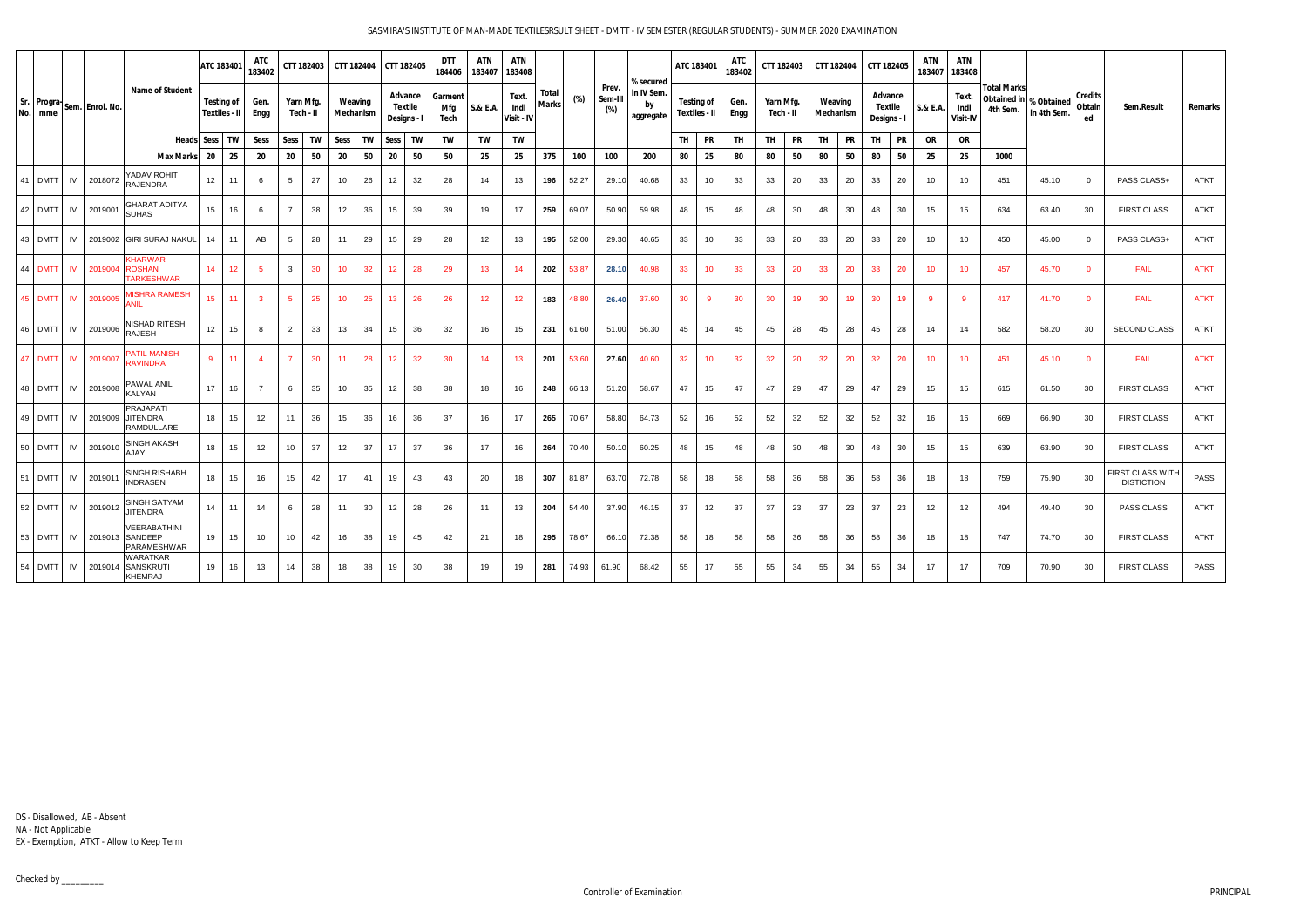## SASMIRA'S INSTITUTE OF MAN-MADE TEXTILESRSULT SHEET - DMTT - IV SEMESTER (REGULAR STUDENTS) - SUMMER 2020 EXAMINATION

|                                           |                                                       | ATC 183401      |                                    | <b>ATC</b><br>183402 |                 | CTT 182403             | CTT 182404           |    | CTT 182405      |                                          | <b>DTT</b><br>184406          | ATN<br>183407 | <b>ATN</b><br>183408        |                       |       |                         | % secured                    |    | ATC 183401                  | <b>ATC</b><br>183402 |           | CTT 182403 | <b>CTT 182404</b>    |           | CTT 182405                        |    | <b>ATN</b> | <b>ATN</b><br>183407 183408 |                                                            |             |                                |                                              |             |
|-------------------------------------------|-------------------------------------------------------|-----------------|------------------------------------|----------------------|-----------------|------------------------|----------------------|----|-----------------|------------------------------------------|-------------------------------|---------------|-----------------------------|-----------------------|-------|-------------------------|------------------------------|----|-----------------------------|----------------------|-----------|------------|----------------------|-----------|-----------------------------------|----|------------|-----------------------------|------------------------------------------------------------|-------------|--------------------------------|----------------------------------------------|-------------|
| Sr. Progra-<br>Sem. Enrol. No.<br>No. mme | <b>Name of Student</b>                                |                 | Testing of<br><b>Textiles - II</b> | Gen.<br>Engg         |                 | Yarn Mfg.<br>Tech - II | Weaving<br>Mechanism |    |                 | Advance<br><b>Textile</b><br>Designs - I | Garment<br><b>Mfg</b><br>Tech | S.& E.A.      | Text.<br>Indl<br>Visit - IV | Total<br><b>Marks</b> | (%)   | Prev.<br>Sem-III<br>(%) | in IV Sem<br>by<br>aggregate |    | Testing of<br>Textiles - II | Gen.<br>Engg         | Yarn Mfg. | Tech - II  | Weaving<br>Mechanism |           | Advance<br>Textile<br>Designs - I |    | S.& E.A.   | Text.<br>Indl<br>Visit-IV   | <b>Total Marks</b><br>Obtained in   % Obtained<br>4th Sem. | in 4th Sem. | <b>Credits</b><br>Obtain<br>ed | Sem.Result                                   | Remarks     |
|                                           | Heads Sess TW                                         |                 |                                    | Sess                 | Sess            | TW                     | Sess                 | TW | Sess            | TW                                       | TW                            | TW            | TW                          |                       |       |                         |                              | TH | PR                          | TH                   | <b>TH</b> | <b>PR</b>  | TH                   | <b>PR</b> | TH                                | PR | OR         | OR                          |                                                            |             |                                |                                              |             |
|                                           | Max Marks 20                                          |                 | 25                                 | 20                   | 20              | 50                     | 20                   | 50 | 20              | 50                                       | 50                            | 25            | 25                          | 375                   | 100   | 100                     | 200                          | 80 | 25                          | 80                   | 80        | 50         | 80                   | 50        | 80                                | 50 | 25         | 25                          | 1000                                                       |             |                                |                                              |             |
| 41 DMTT<br>IV<br>2018072                  | YADAV ROHIT<br><b>RAJENDRA</b>                        | 12              | 11                                 | 6                    | $5\overline{5}$ | 27                     | 10                   | 26 | 12              | 32                                       | 28                            | 14            | 13                          | 196                   | 52.27 | 29.10                   | 40.68                        | 33 | 10 <sup>°</sup>             | 33                   | 33        | 20         | 33                   | 20        | 33                                | 20 | 10         | 10                          | 451                                                        | 45.10       | $\overline{0}$                 | PASS CLASS+                                  | <b>ATKT</b> |
| 42 DMTT<br>IV<br>2019001                  | <b>GHARAT ADITYA</b><br><b>SUHAS</b>                  | 15              | 16                                 | 6                    | $\overline{7}$  | 38                     | 12                   | 36 | 15              | 39                                       | 39                            | 19            | 17                          | 259                   | 69.07 | 50.90                   | 59.98                        | 48 | 15                          | 48                   | 48        | 30         | 48                   | 30        | 48                                | 30 | 15         | 15                          | 634                                                        | 63.40       | 30                             | <b>FIRST CLASS</b>                           | <b>ATKT</b> |
| 43 DMTT<br>IV<br>2019002                  | <b>GIRI SURAJ NAKUL</b>                               | 14              | 11                                 | AB                   | 5               | 28                     | 11                   | 29 | 15              | 29                                       | 28                            | 12            | 13                          | 195                   | 52.00 | 29.30                   | 40.65                        | 33 | 10 <sup>1</sup>             | 33                   | 33        | 20         | 33                   | 20        | 33                                | 20 | 10         | 10                          | 450                                                        | 45.00       | $\overline{0}$                 | PASS CLASS+                                  | <b>ATKT</b> |
| <b>IV</b><br>44 DMTT<br>2019004           | <b>KHARWAR</b><br><b>ROSHAN</b><br><b>ARKESHWAR</b>   | 14              | 12 <sub>2</sub>                    | 5                    | $\mathbf{3}$    | 30                     | 10 <sup>°</sup>      | 32 | 12 <sup>7</sup> | 28                                       | 29                            | 13            | 14                          | 202                   | 53.87 | 28.10                   | 40.98                        | 33 | 10 <sup>°</sup>             | 33                   | 33        | 20         | 33                   | 20        | 33                                | 20 | 10         | 10 <sup>°</sup>             | 457                                                        | 45.70       | $\overline{0}$                 | <b>FAIL</b>                                  | <b>ATKT</b> |
| 45 DMTT<br><b>IV</b><br>2019005           | <b><i>IISHRA RAMESH</i></b><br>NIL                    | 15 <sub>1</sub> | 11                                 | $\mathbf{3}$         | $5^{\circ}$     | 25                     | 10 <sup>°</sup>      | 25 | 13 <sup>°</sup> | 26                                       | 26                            | 12            | 12 <sup>2</sup>             | 183                   | 48.80 | 26.40                   | 37.60                        | 30 | 9                           | 30                   | 30        | 19         | 30                   | 19        | 30                                | 19 | -9         | -9                          | 417                                                        | 41.70       | $\overline{0}$                 | <b>FAIL</b>                                  | <b>ATKT</b> |
| 46 DMTT<br>IV<br>2019006                  | <b>NISHAD RITESH</b><br><b>RAJESH</b>                 | 12              | 15                                 | 8                    | 2               | 33                     | 13                   | 34 | 15              | 36                                       | 32                            | 16            | 15                          | 231                   | 61.60 | 51.00                   | 56.30                        | 45 | 14                          | 45                   | 45        | 28         | 45                   | 28        | 45                                | 28 | 14         | 14                          | 582                                                        | 58.20       | 30                             | <b>SECOND CLASS</b>                          | ATKT        |
| 47 DMTT<br><b>IV</b><br>2019007           | <b>PATIL MANISH</b><br><b>RAVINDRA</b>                | 9               | 11                                 | $\overline{4}$       | $\overline{7}$  | 30                     | 11                   | 28 | 12 <sup>7</sup> | 32                                       | 30                            | 14            | 13                          | 201                   | 53.60 | 27.60                   | 40.60                        | 32 | 10 <sup>°</sup>             | 32                   | 32        | 20         | 32                   | 20        | 32                                | 20 | 10         | 10                          | 451                                                        | 45.10       | $\mathbf 0$                    | <b>FAIL</b>                                  | <b>ATKT</b> |
| 48 DMTT<br>IV<br>2019008                  | PAWAL ANIL<br>KALYAN                                  | 17              | 16                                 | $\overline{7}$       | 6               | 35                     | 10                   | 35 | 12              | 38                                       | 38                            | 18            | 16                          | 248                   | 66.13 | 51.20                   | 58.67                        | 47 | 15                          | 47                   | 47        | 29         | 47                   | 29        | 47                                | 29 | 15         | 15                          | 615                                                        | 61.50       | 30                             | <b>FIRST CLASS</b>                           | <b>ATKT</b> |
| 49 DMTT<br><b>IV</b><br>2019009           | <b>PRAJAPATI</b><br><b>JITENDRA</b><br>RAMDULLARE     | 18              | 15                                 | 12                   | 11              | 36                     | 15                   | 36 | 16              | 36                                       | 37                            | 16            | 17                          | 265                   | 70.67 | 58.80                   | 64.73                        | 52 | 16                          | 52                   | 52        | 32         | 52                   | 32        | 52                                | 32 | 16         | 16                          | 669                                                        | 66.90       | 30                             | <b>FIRST CLASS</b>                           | ATKT        |
| 50 DMTT   IV   2019010                    | <b>SINGH AKASH</b><br><b>AJAY</b>                     | 18              | 15                                 | 12                   | 10 <sup>1</sup> | 37                     | 12                   | 37 | 17              | 37                                       | 36                            | 17            | 16                          | 264                   | 70.40 | 50.10                   | 60.25                        | 48 | 15                          | 48                   | 48        | 30         | 48                   | 30        | 48                                | 30 | 15         | 15                          | 639                                                        | 63.90       | 30                             | <b>FIRST CLASS</b>                           | <b>ATKT</b> |
| IV<br>51 DMTT<br>201901                   | <b>SINGH RISHABH</b><br><b>INDRASEN</b>               | 18              | 15                                 | 16                   | 15              | 42                     | 17                   | 41 | 19              | 43                                       | 43                            | 20            | 18                          | 307                   | 81.87 | 63.70                   | 72.78                        | 58 | 18                          | 58                   | 58        | 36         | 58                   | 36        | 58                                | 36 | 18         | 18                          | 759                                                        | 75.90       | 30                             | <b>FIRST CLASS WITH</b><br><b>DISTICTION</b> | PASS        |
| 52 DMTT<br>IV<br>2019012                  | <b>SINGH SATYAM</b><br><b>ITENDRA</b>                 | 14              | 11                                 | 14                   | 6               | 28                     | 11                   | 30 | 12              | 28                                       | 26                            | 11            | 13                          | 204                   | 54.40 | 37.90                   | 46.15                        | 37 | 12                          | 37                   | 37        | 23         | 37                   | 23        | 37                                | 23 | 12         | 12                          | 494                                                        | 49.40       | 30                             | PASS CLASS                                   | <b>ATKT</b> |
| IV<br>2019013<br>53 DMTT                  | VEERABATHINI<br>SANDEEP<br>PARAMESHWAR                | 19              | 15                                 | 10 <sup>°</sup>      | 10              | 42                     | 16                   | 38 | 19              | 45                                       | 42                            | 21            | 18                          | 295                   | 78.67 | 66.10                   | 72.38                        | 58 | 18                          | 58                   | 58        | 36         | 58                   | 36        | 58                                | 36 | 18         | 18                          | 747                                                        | 74.70       | 30                             | <b>FIRST CLASS</b>                           | <b>ATKT</b> |
| 54 DMTT<br>IV 2019014                     | <b>WARATKAR</b><br><b>SANSKRUTI</b><br><b>KHEMRAJ</b> | 19              | 16                                 | 13                   | 14              | 38                     | 18                   | 38 | 19              | 30                                       | 38                            | 19            | 19                          | 281                   | 74.93 | 61.90                   | 68.42                        | 55 | 17                          | 55                   | 55        | 34         | 55                   | 34        | 55                                | 34 | 17         | 17                          | 709                                                        | 70.90       | 30                             | <b>FIRST CLASS</b>                           | PASS        |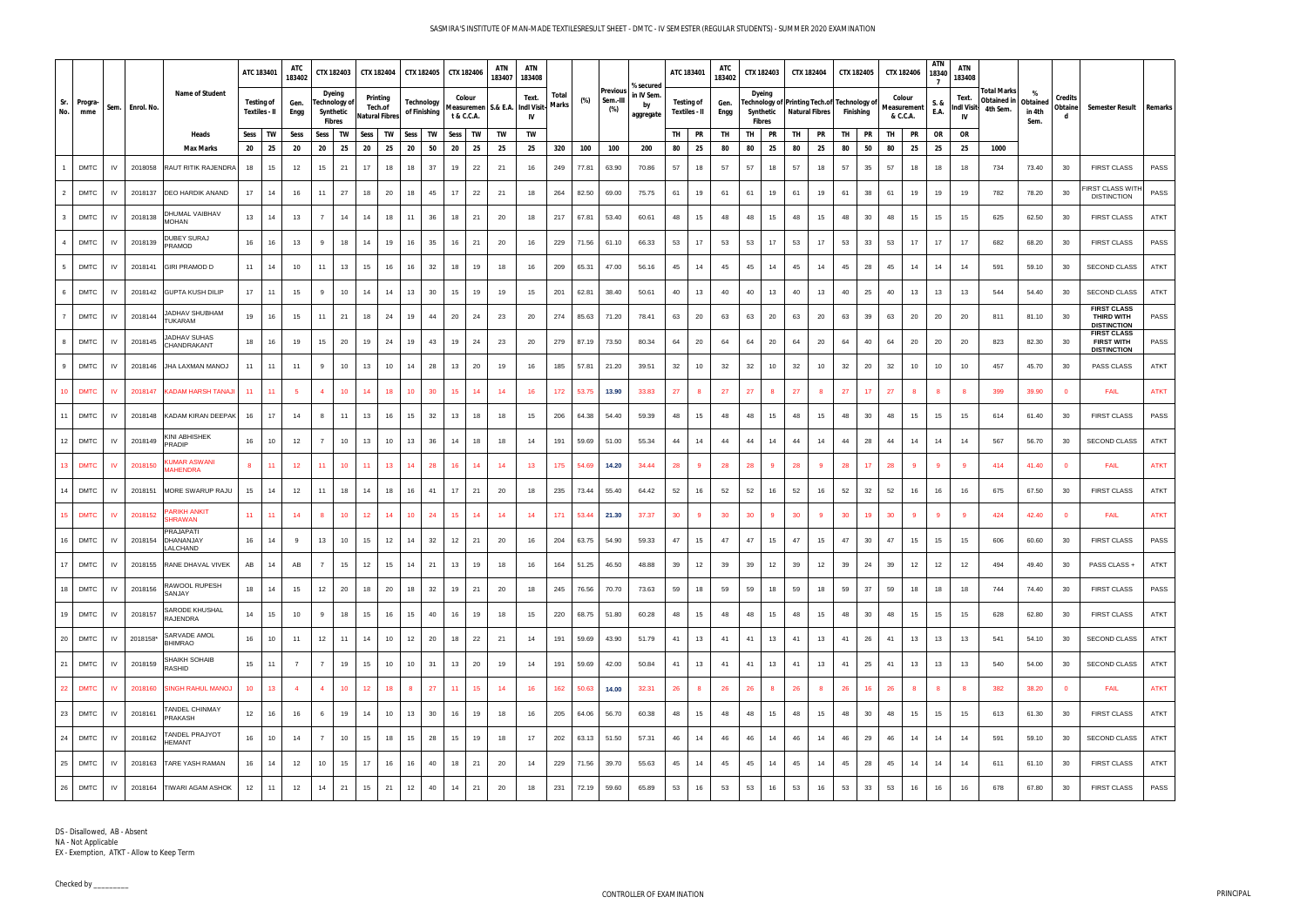|                         |                |           |                 |                                       | ATC 183401                                | <b>ATC</b><br>183402 | <b>CTX 182403</b>                                    |                 | <b>CTX 182404</b>                            | CTX 182405                        |                 | CTX 182406           | ATN<br>183407                   | ATN<br>183408 |                |       |                            | % secured                    | ATC 183401                         |    | <b>ATC</b><br>183402 | <b>CTX 182403</b>                    |                                             | CTX 182404            |    | CTX 182405       |                    | CTX 182406  | <b>ATN</b><br>18340<br>$\overline{7}$ | <b>ATN</b><br>183408       |                                        |                                 |                           |                                                               |             |
|-------------------------|----------------|-----------|-----------------|---------------------------------------|-------------------------------------------|----------------------|------------------------------------------------------|-----------------|----------------------------------------------|-----------------------------------|-----------------|----------------------|---------------------------------|---------------|----------------|-------|----------------------------|------------------------------|------------------------------------|----|----------------------|--------------------------------------|---------------------------------------------|-----------------------|----|------------------|--------------------|-------------|---------------------------------------|----------------------------|----------------------------------------|---------------------------------|---------------------------|---------------------------------------------------------------|-------------|
| Sr.<br>No.              | Progra-<br>mme |           | Sem. Enrol. No. | <b>Name of Student</b>                | <b>Testing of</b><br><b>Textiles - II</b> | Gen.<br>Engg         | Dyeing<br>echnology of<br>Synthetic<br><b>Fibres</b> |                 | Printing<br>Tech.of<br><b>Natural Fibres</b> | <b>Technology</b><br>of Finishing |                 | Colour<br>t & C.C.A. | Vleasuremen S.& E.A. Indi Visit | Text.<br>IV   | Total<br>Marks | (%)   | Previous<br>Sem.-II<br>(%) | in IV Sem<br>by<br>aggregate | <b>Testing of</b><br>Textiles - II |    | Gen.<br>Engg         | Dyeing<br>Synthetic<br><b>Fibres</b> | echnology of Printing Tech.of Technology of | <b>Natural Fibres</b> |    | <b>Finishing</b> | Colour<br>& C.C.A. | Measurement | S.8<br>E.A.                           | Text.<br>Indl Visit-<br>IV | Total Marks<br>Obtained in<br>4th Sem. | %<br>Obtained<br>in 4th<br>Sem. | <b>Credits</b><br>Obtaine | <b>Semester Result</b>                                        | Remarks     |
|                         |                |           |                 | Heads                                 | TW<br>Sess                                | Sess                 | TW<br>Sess                                           | Sess            | TW                                           | TW<br>Sess                        | Sess            | TW                   | TW                              | TW            |                |       |                            |                              | <b>TH</b>                          | PR | TH                   | TH.                                  | TH<br>PR                                    | <b>PR</b>             | TH | <b>PR</b>        | TH                 | PR          | OR                                    | OR                         |                                        |                                 |                           |                                                               |             |
|                         |                |           |                 | <b>Max Marks</b>                      | 20<br>25                                  | 20                   | 20<br>25                                             | 20              | 25                                           | 20<br>50                          | 20              | 25                   | 25                              | 25            | 320            | 100   | 100                        | 200                          | 80                                 | 25 | 80                   | 80                                   | 80<br>-25                                   | 25                    | 80 | 50               | 80                 | 25          | 25                                    | 25                         | 1000                                   |                                 |                           |                                                               |             |
|                         | <b>DMTC</b>    | IV        | 2018058         | RAUT RITIK RAJENDRA                   | 18                                        | 15<br>12             | 15<br>21                                             | 17              | 18                                           | 37<br>18                          | 19              | 22                   | 21                              | 16            | 249            | 77.81 | 63.90                      | 70.86                        | 57                                 | 18 | 57                   | 57                                   | 57<br>18                                    | 18                    | 57 | 35               | 57                 | 18          | 18                                    | 18                         | 734                                    | 73.40                           | 30                        | <b>FIRST CLASS</b>                                            | PASS        |
| $\overline{2}$          | <b>DMTC</b>    | IV        | 2018137         | <b>DEO HARDIK ANAND</b>               | 17<br>14                                  | 16                   | 27<br>11                                             | 18              | 20                                           | 18<br>45                          | 17              | 22                   | 21                              | 18            | 264            | 82.50 | 69.00                      | 75.75                        | 61                                 | 19 | 61                   | 61                                   | 19<br>61                                    | 19                    | 61 | 38               | 61                 | 19          | 19                                    | 19                         | 782                                    | 78.20                           | 30                        | <b>IRST CLASS WITH</b><br><b>DISTINCTION</b>                  | PASS        |
| $\overline{\mathbf{3}}$ | <b>DMTC</b>    | IV        | 2018138         | DHUMAL VAIBHAV<br><b>IOHAN</b>        | 13<br>14                                  | 13                   | $\overline{7}$<br>14                                 | 14              | 18                                           | 36<br>11                          | 18              | 21                   | 20                              | 18            | 217            | 67.81 | 53.40                      | 60.61                        | 48                                 | 15 | 48                   | 48                                   | 15<br>48                                    | 15                    | 48 | 30               | 48                 | 15          | 15                                    | 15                         | 625                                    | 62.50                           | 30                        | <b>FIRST CLASS</b>                                            | <b>ATKT</b> |
| $\overline{4}$          | <b>DMTC</b>    | IV        | 2018139         | DUBEY SURAJ<br><b>PRAMOD</b>          | 16<br>16                                  | 13                   | 18<br>9                                              | 14              | 19                                           | 16<br>35                          | 16              | 21                   | 20                              | 16            | 229            | 71.56 | 61.10                      | 66.33                        | 53                                 | 17 | 53                   | 53                                   | 17<br>53                                    | 17                    | 53 | 33               | 53                 | 17          | 17                                    | 17                         | 682                                    | 68.20                           | 30                        | <b>FIRST CLASS</b>                                            | PASS        |
| $5\overline{5}$         | <b>DMTC</b>    | IV        | 2018141         | <b>GIRI PRAMOD D</b>                  | 11<br>14                                  | 10                   | 13<br>11                                             | 15              | 16                                           | 32<br>16                          | 18              | 19                   | 18                              | 16            | 209            | 65.31 | 47.00                      | 56.16                        | 45                                 | 14 | 45                   | 45                                   | 14<br>45                                    | 14                    | 45 | 28               | 45                 | 14          | 14                                    | 14                         | 591                                    | 59.10                           | 30                        | SECOND CLASS                                                  | <b>ATKT</b> |
| 6                       | <b>DMTC</b>    | IV        | 2018142         | <b>GUPTA KUSH DILIP</b>               | 17<br>11                                  | 15                   | 10<br>9                                              | 14              | 14                                           | 13<br>30                          | 15              | 19                   | 19                              | 15            | 201            | 62.81 | 38.40                      | 50.61                        | 40                                 | 13 | 40                   | 40                                   | 13<br>40                                    | 13                    | 40 | 25               | 40                 | 13          | 13                                    | 13                         | 544                                    | 54.40                           | 30                        | SECOND CLASS                                                  | <b>ATKT</b> |
| $\overline{7}$          | <b>DMTC</b>    | IV        | 2018144         | JADHAV SHUBHAM<br><b>TUKARAM</b>      | 19<br>16                                  | 15                   | 21<br>11                                             | 18              | 24                                           | 19<br>44                          | 20              | 24                   | 23                              | 20            | 274            | 85.63 | 71.20                      | 78.41                        | 63                                 | 20 | 63                   | 63                                   | 20<br>63                                    | 20                    | 63 | 39               | 63                 | 20          | 20                                    | 20                         | 811                                    | 81.10                           | 30                        | <b>FIRST CLASS</b><br>THIRD WITH<br><b>DISTINCTION</b>        | PASS        |
| 8                       | <b>DMTC</b>    | IV        | 2018145         | ADHAV SUHAS<br>CHANDRAKANT            | 18<br>16                                  | 19                   | 15<br>20                                             | 19              | 24                                           | 43<br>19                          | 19              | 24                   | 23                              | 20            | 279            | 87.19 | 73.50                      | 80.34                        | 64                                 | 20 | 64                   | 64                                   | 20<br>64                                    | 20                    | 64 | 40               | 64                 | 20          | 20                                    | 20                         | 823                                    | 82.30                           | 30                        | <b>FIRST CLASS</b><br><b>FIRST WITH</b><br><b>DISTINCTION</b> | PASS        |
| 9                       | <b>DMTC</b>    | IV        | 2018146         | JHA LAXMAN MANOJ                      | 11<br>11                                  | 11                   | 9<br>10 <sup>1</sup>                                 | 13              | 10                                           | 14<br>28                          | 13              | 20                   | 19                              | 16            | 185            | 57.81 | 21.20                      | 39.51                        | 32                                 | 10 | 32                   | 32                                   | 10<br>32                                    | 10                    | 32 | 20               | 32                 | 10          | 10                                    | 10                         | 457                                    | 45.70                           | 30                        | PASS CLASS                                                    | <b>ATKT</b> |
| 10                      | <b>DMTC</b>    | <b>IV</b> | 2018147         | <b>KADAM HARSH TANAJ</b>              | 11<br>11                                  | -5                   | 10 <sup>1</sup><br>$\overline{4}$                    | 14              | 18                                           | 30<br>10 <sup>1</sup>             | 15              | 14                   | 14                              | 16            | 172            | 53.75 | 13.90                      | 33.83                        | 27                                 | 8  | 27                   | 27                                   | 27<br>8                                     |                       | 27 | 17               | 27                 | -8          | 8                                     | -8                         | 399                                    | 39.90                           | $\overline{\mathbf{0}}$   | <b>FAIL</b>                                                   | <b>ATKT</b> |
| 11                      | <b>DMTC</b>    | IV        | 2018148         | <b>KADAM KIRAN DEEPAK</b>             | 16<br>17                                  | 14                   | 11<br>8                                              | 13              | 16                                           | 15<br>32                          | 13              | 18                   | 18                              | 15            | 206            | 64.38 | 54.40                      | 59.39                        | 48                                 | 15 | 48                   | 48                                   | 15<br>48                                    | 15                    | 48 | 30               | 48                 | 15          | 15                                    | 15                         | 614                                    | 61.40                           | 30                        | <b>FIRST CLASS</b>                                            | PASS        |
| 12                      | <b>DMTC</b>    | IV        | 2018149         | KINI ABHISHEK<br><b>RADIP</b>         | 16<br>10                                  | 12                   | 10<br>$\overline{7}$                                 | 13              | 10                                           | 36<br>13                          | 14              | 18                   | 18                              | 14            | 191            | 59.69 | 51.00                      | 55.34                        | 44                                 | 14 | 44                   | 44                                   | 14<br>44                                    | 14                    | 44 | 28               | 44                 | 14          | 14                                    | 14                         | 567                                    | 56.70                           | 30                        | SECOND CLASS                                                  | <b>ATKT</b> |
| 13                      | <b>DMTC</b>    | IV.       | 2018150         | <b>KUMAR ASWANI</b><br><b>AHENDRA</b> | 8 <sup>8</sup><br>11                      | 12                   | 11<br>10 <sup>°</sup>                                | 11              | 13 <sup>°</sup>                              | 28<br>14                          | 16              | 14                   | 14                              | 13            | 175            | 54.69 | 14.20                      | 34.44                        | 28                                 | 9  | 28                   | 28                                   | 9<br>28                                     | -9                    | 28 | 17               | 28                 | -9          | 9                                     | -9                         | 414                                    | 41.40                           | $\overline{0}$            | <b>FAIL</b>                                                   | <b>ATKT</b> |
| 14                      | <b>DMTC</b>    | IV        | 2018151         | MORE SWARUP RAJU                      | 15<br>14                                  | 12                   | 11<br>18                                             | 14              | 18                                           | 16<br>41                          | 17              | 21                   | 20                              | 18            | 235            | 73.44 | 55.40                      | 64.42                        | 52                                 | 16 | 52                   | 52                                   | 16<br>52                                    | 16                    | 52 | 32               | 52                 | 16          | 16                                    | 16                         | 675                                    | 67.50                           | 30                        | <b>FIRST CLASS</b>                                            | <b>ATKT</b> |
| 15                      | <b>DMTC</b>    | <b>IV</b> | 2018152         | <b>ARIKH ANKIT</b><br><b>HRAWAN</b>   | 11<br>11                                  | 14                   | 10 <sup>°</sup>                                      | 12 <sup>°</sup> | 14                                           | 10 <sup>1</sup><br>24             | 15 <sub>1</sub> | 14                   | 14                              | 14            | 171            | 53.44 | 21.30                      | 37.37                        | 30                                 | -9 | 30                   | 30                                   | 30<br>-9                                    |                       | 30 | 19               | 30                 |             | -9                                    |                            | 424                                    | 42.40                           | $\Omega$                  | <b>FAIL</b>                                                   | <b>ATKT</b> |
|                         | 16 DMTC        | IV        | 2018154         | PRAJAPATI<br>DHANANJAY<br>LALCHAND    | 16<br>14                                  | 9                    | 13<br>10 <sup>1</sup>                                | 15              | 12                                           | 32<br>14                          | 12              | 21                   | 20                              | 16            | 204            | 63.75 | 54.90                      | 59.33                        | 47                                 | 15 | 47                   | 47                                   | 15<br>47                                    | 15                    | 47 | 30               | 47                 | 15          | 15                                    | 15                         | 606                                    | 60.60                           | 30                        | <b>FIRST CLASS</b>                                            | PASS        |
| 17                      | <b>DMTC</b>    | IV        |                 | 2018155 RANE DHAVAL VIVEK             | AB<br>14                                  | AB                   | $\overline{7}$<br>15                                 | 12              | 15                                           | 14<br>21                          | 13              | 19                   | 18                              | 16            | 164            | 51.25 | 46.50                      | 48.88                        | 39                                 | 12 | 39                   | 39                                   | 12<br>39                                    | 12                    | 39 | 24               | 39                 | 12          | 12                                    | 12                         | 494                                    | 49.40                           | 30                        | PASS CLASS +                                                  | <b>ATKT</b> |
|                         | 18 DMTC        | IV        | 2018156         | RAWOOL RUPESH<br>SANJAY               | 18<br>14                                  | 15                   | 12<br>20                                             | 18              | 20                                           | 32<br>18                          | 19              | 21                   | 20                              | 18            | 245            | 76.56 | 70.70                      | 73.63                        | 59                                 | 18 | 59                   | 59                                   | 18<br>59                                    | 18                    | 59 | 37               | 59                 | 18          | 18                                    | 18                         | 744                                    | 74.40                           | 30                        | <b>FIRST CLASS</b>                                            | PASS        |
|                         | 19 DMTC        | IV        | 2018157         | SARODE KHUSHAL<br>RAJENDRA            | 14<br>15                                  | 10                   | 18<br>9                                              | 15              | 16                                           | 15<br>40                          | 16              | 19                   | 18                              | 15            | 220            | 68.75 | 51.80                      | 60.28                        | 48                                 | 15 | 48                   | 48                                   | 15<br>48                                    | 15                    | 48 | 30               | 48                 | 15          | 15                                    | 15                         | 628                                    | 62.80                           | 30                        | <b>FIRST CLASS</b>                                            | <b>ATKT</b> |
|                         | 20 DMTC        | IV        | 2018158*        | SARVADE AMOL<br><b>BHIMRAO</b>        | 16<br>10                                  | 11                   | 12<br>11                                             | 14              | 10                                           | 12<br>20                          | 18              | 22                   | 21                              | 14            | 191            | 59.69 | 43.90                      | 51.79                        | 41                                 | 13 | 41                   | 41                                   | 13<br>41                                    | 13                    | 41 | 26               | 41                 | 13          | 13                                    | 13                         | 541                                    | 54.10                           | 30                        | SECOND CLASS                                                  | <b>ATKT</b> |
| 21                      | <b>DMTC</b>    | IV        | 2018159         | SHAIKH SOHAIB<br>RASHID               | 15<br>11                                  | $\overline{7}$       | $\overline{7}$<br>19                                 | 15              | 10                                           | 10<br>31                          | 13              | 20                   | 19                              | 14            | 191            | 59.69 | 42.00                      | 50.84                        | 41                                 | 13 | 41                   | 41                                   | 13<br>41                                    | 13                    | 41 | 25               | 41                 | 13          | 13                                    | 13                         | 540                                    | 54.00                           | 30                        | SECOND CLASS                                                  | <b>ATKT</b> |
| 22                      | <b>DMTC</b>    | <b>IV</b> | 2018160         | <b>SINGH RAHUL MANOJ</b>              | $10-10$<br>13                             | $\overline{4}$       | $\overline{4}$<br>10 <sup>1</sup>                    | 12 <sup>7</sup> | 18                                           | 27<br>8                           | 11              | 15                   | 14                              | 16            | 162            | 50.63 | 14.00                      | 32.31                        | 26                                 | 8  | 26                   | 26                                   | $\overline{\mathbf{8}}$<br>26               | 8                     | 26 | 16               | 26                 | 8           | $\overline{\mathbf{8}}$               | 8                          | 382                                    | 38.20                           | $\overline{\mathbf{0}}$   | <b>FAIL</b>                                                   | <b>ATKT</b> |
| 23                      | <b>DMTC</b>    | IV        | 2018161         | TANDEL CHINMAY<br>PRAKASH             | 12<br>16                                  | 16                   | 6<br>19                                              | 14              | 10                                           | 13<br>30                          | 16              | 19                   | 18                              | 16            | 205            | 64.06 | 56.70                      | 60.38                        | 48                                 | 15 | 48                   | 48                                   | 15<br>48                                    | 15                    | 48 | 30               | 48                 | 15          | 15                                    | 15                         | 613                                    | 61.30                           | 30                        | <b>FIRST CLASS</b>                                            | <b>ATKT</b> |
| 24                      | <b>DMTC</b>    | IV        | 2018162         | TANDEL PRAJYOT<br><b>HEMANT</b>       | 16<br>10                                  | 14                   | 10 <sup>1</sup><br>$\overline{7}$                    | 15              | 18                                           | 15<br>28                          | 15              | 19                   | 18                              | 17            | 202            | 63.13 | 51.50                      | 57.31                        | 46                                 | 14 | 46                   | 46                                   | 14<br>46                                    | 14                    | 46 | 29               | 46                 | 14          | 14                                    | 14                         | 591                                    | 59.10                           | 30                        | SECOND CLASS                                                  | <b>ATKT</b> |
| 25                      | <b>DMTC</b>    | IV        |                 | 2018163 TARE YASH RAMAN               | 16<br>14                                  | 12                   | 10<br>15                                             | 17              | 16                                           | 40<br>16                          | 18              | 21                   | 20                              | 14            | 229            | 71.56 | 39.70                      | 55.63                        | 45                                 | 14 | 45                   | 45                                   | 14<br>45                                    | 14                    | 45 | 28               | 45                 | 14          | 14                                    | 14                         | 611                                    | 61.10                           | 30                        | <b>FIRST CLASS</b>                                            | <b>ATKT</b> |
|                         | 26 DMTC        | IV.       |                 | 2018164 TIWARI AGAM ASHOK             | 12<br>11                                  | 12                   | 14<br>21                                             | 15              | 21                                           | 12<br>40                          | 14              | 21                   | 20                              | 18            | 231            | 72.19 | 59.60                      | 65.89                        | 53                                 | 16 | 53                   | 53                                   | 16<br>53                                    | 16                    | 53 | 33               | 53                 | 16          | 16                                    | 16                         | 678                                    | 67.80                           | 30                        | <b>FIRST CLASS</b>                                            | PASS        |

DS - Disallowed, AB - Absent

NA - Not Applicable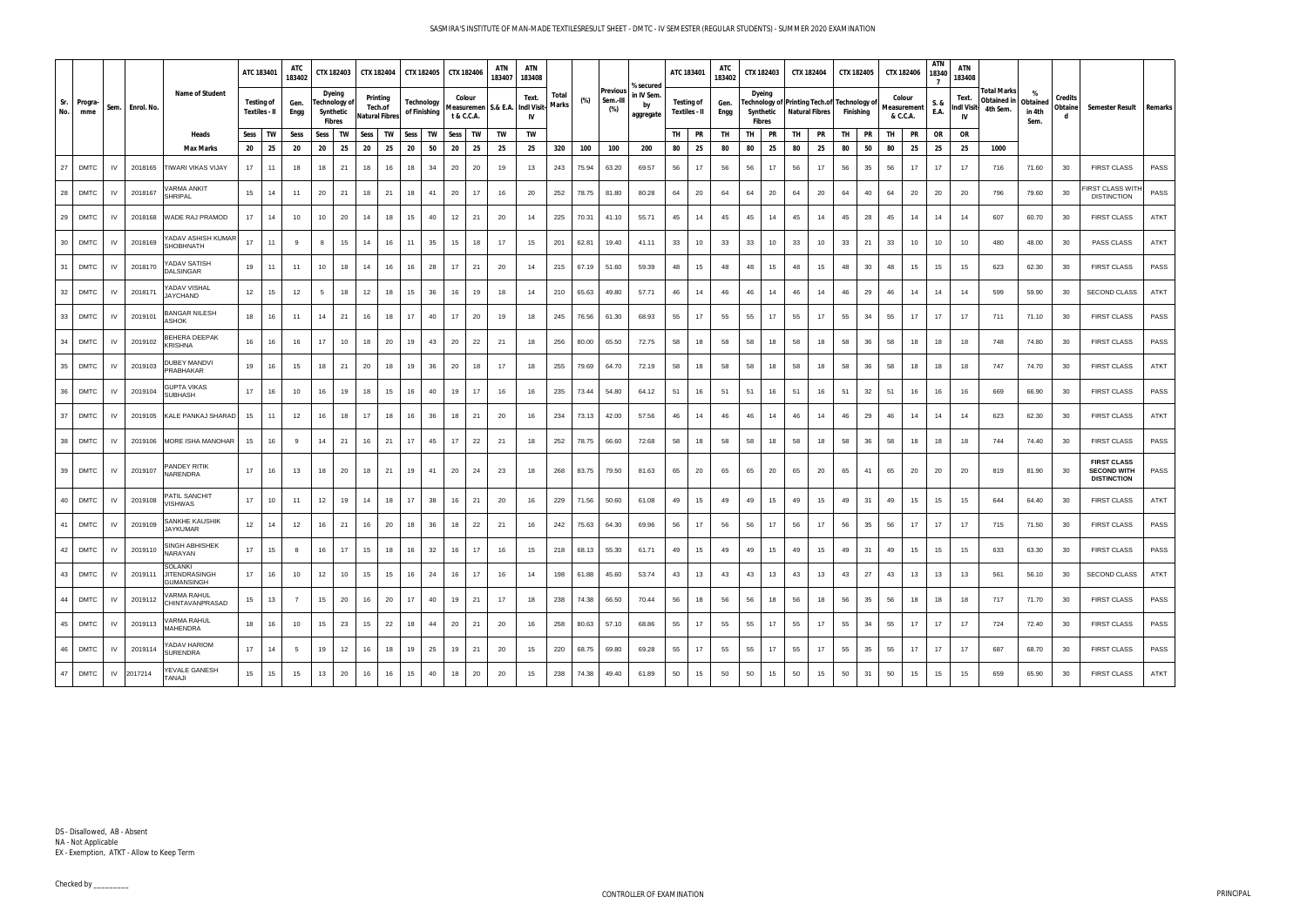|            |                |      |            |                                                      | ATC 183401                         |    | ATC<br>183402  |                 | <b>CTX 182403</b>                                   |      | <b>CTX 182404</b>                     |      | CTX 182405                 | CTX 182406           |    | ATN<br>183407                    | ATN<br>183408 |                |       |                                    |                                            |    | ATC 183401                         | ATC<br>183402 |    | CTX 182403                                                                          | <b>CTX 182404</b>     |           | CTX 182405       |    | <b>CTX 182406</b>                 | ATN<br>18340<br>$\overline{7}$ | <b>ATN</b><br>183408             |                                        |                                 |                           |                                                                |             |
|------------|----------------|------|------------|------------------------------------------------------|------------------------------------|----|----------------|-----------------|-----------------------------------------------------|------|---------------------------------------|------|----------------------------|----------------------|----|----------------------------------|---------------|----------------|-------|------------------------------------|--------------------------------------------|----|------------------------------------|---------------|----|-------------------------------------------------------------------------------------|-----------------------|-----------|------------------|----|-----------------------------------|--------------------------------|----------------------------------|----------------------------------------|---------------------------------|---------------------------|----------------------------------------------------------------|-------------|
| Sr.<br>No. | Progra-<br>mme | Sem. | Enrol. No. | <b>Name of Student</b>                               | <b>Testing of</b><br>Textiles - II |    | Gen.<br>Engg   |                 | Dyeing<br>echnology o<br>Synthetic<br><b>Fibres</b> |      | Printing<br>Tech.of<br>Natural Fibres |      | Technology<br>of Finishing | Colour<br>t & C.C.A. |    | Measuremen   S.& E.A. Indl Visit | Text.<br>IV   | Total<br>Marks | (%)   | <b>Previous</b><br>Sem.-III<br>(%) | % secured<br>in IV Sem.<br>by<br>aggregate |    | <b>Testing of</b><br>Textiles - II | Gen.<br>Engg  |    | Dyeing<br>echnology of Printing Tech.of Technology of<br>Synthetic<br><b>Fibres</b> | <b>Natural Fibres</b> |           | <b>Finishing</b> |    | Colour<br>Measurement<br>& C.C.A. | S. &<br>E.A.                   | Text.<br><b>Indl Visit</b><br>IV | Total Marks<br>Obtained in<br>4th Sem. | %<br>Obtained<br>in 4th<br>Sem. | <b>Credits</b><br>Obtaine | <b>Semester Result</b>                                         | Remarks     |
|            |                |      |            | Heads                                                | Sess                               | TW | Sess           | Sess            | TW                                                  | Sess | TW                                    | Sess | TW                         | Sess                 | TW | TW                               | TW            |                |       |                                    |                                            | TH | PR                                 | TH            | TH | TH<br>PR                                                                            | PR                    | <b>TH</b> | PR               | TH | PR                                | OR                             | OR                               |                                        |                                 |                           |                                                                |             |
|            |                |      |            | <b>Max Marks</b>                                     | 20                                 | 25 | 20             | 20              | 25                                                  | 20   | 25                                    | 20   | 50                         | 20                   | 25 | 25                               | 25            | 320            | 100   | 100                                | 200                                        | 80 | 25                                 | 80            | 80 | 25<br>80                                                                            | 25                    | 80        | 50               | 80 | 25                                | 25                             | 25                               | 1000                                   |                                 |                           |                                                                |             |
| 27         | <b>DMTC</b>    | IV   | 2018165    | <b>TIWARI VIKAS VIJAY</b>                            | 17                                 | 11 | 18             | 18              | 21                                                  | 18   | 16                                    | 18   | 34                         | 20                   | 20 | 19                               | 13            | 243            | 75.94 | 63.20                              | 69.57                                      | 56 | 17                                 | 56            | 56 | 17<br>56                                                                            | 17                    | 56        | 35               | 56 | 17                                | 17                             | 17                               | 716                                    | 71.60                           | 30                        | <b>FIRST CLASS</b>                                             | PASS        |
| 28         | <b>DMTC</b>    | IV   | 2018167    | <b>/ARMA ANKIT</b><br><b>SHRIPAL</b>                 | 15                                 | 14 | 11             | 20              | 21                                                  | 18   | 21                                    | 18   | 41                         | 20                   | 17 | 16                               | 20            | 252            | 78.75 | 81.80                              | 80.28                                      | 64 | 20                                 | 64            | 64 | 20<br>64                                                                            | 20                    | 64        | 40               | 64 | 20                                | 20                             | 20                               | 796                                    | 79.60                           | 30                        | <b>IRST CLASS WITH</b><br><b>DISTINCTION</b>                   | PASS        |
| 29         | <b>DMTC</b>    | IV   | 2018168    | <b>WADE RAJ PRAMOD</b>                               | 17                                 | 14 | 10             | 10 <sup>1</sup> | 20                                                  | 14   | 18                                    | 15   | 40                         | 12                   | 21 | 20                               | 14            | 225            | 70.31 | 41.10                              | 55.71                                      | 45 | 14                                 | 45            | 45 | 14<br>45                                                                            | 14                    | 45        | 28               | 45 | 14                                | 14                             | 14                               | 607                                    | 60.70                           | 30                        | <b>FIRST CLASS</b>                                             | <b>ATKT</b> |
|            | 30 DMTC        | IV   | 2018169    | YADAV ASHISH KUMAR<br>SHOBHNATH                      | 17                                 | 11 | 9              | 8               | 15                                                  | 14   | 16                                    | 11   | 35                         | 15                   | 18 | 17                               | 15            | 201            | 62.81 | 19.40                              | 41.11                                      | 33 | 10                                 | 33            | 33 | 10<br>33                                                                            | 10                    | 33        | 21               | 33 | 10                                | 10                             | 10                               | 480                                    | 48.00                           | 30                        | PASS CLASS                                                     | <b>ATKT</b> |
| 31         | <b>DMTC</b>    | IV   | 2018170    | YADAV SATISH<br>DALSINGAR                            | 19                                 | 11 | 11             | 10              | 18                                                  | 14   | 16                                    | 16   | 28                         | 17                   | 21 | 20                               | 14            | 215            | 67.19 | 51.60                              | 59.39                                      | 48 | 15                                 | 48            | 48 | 15<br>48                                                                            | 15                    | 48        | 30               | 48 | 15                                | 15                             | 15                               | 623                                    | 62.30                           | 30                        | <b>FIRST CLASS</b>                                             | PASS        |
| 32         | <b>DMTC</b>    | IV   | 2018171    | YADAV VISHAL<br><b>JAYCHAND</b>                      | 12                                 | 15 | 12             | -5              | 18                                                  | 12   | 18                                    | 15   | 36                         | 16                   | 19 | 18                               | 14            | 210            | 65.63 | 49.80                              | 57.71                                      | 46 | 14                                 | 46            | 46 | 46<br>14                                                                            | 14                    | 46        | 29               | 46 | 14                                | 14                             | 14                               | 599                                    | 59.90                           | 30                        | SECOND CLASS                                                   | <b>ATKT</b> |
| 33         | <b>DMTC</b>    | IV   | 2019101    | <b>BANGAR NILESH</b><br>ASHOK                        | 18                                 | 16 | 11             | 14              | 21                                                  | 16   | 18                                    | 17   | 40                         | 17                   | 20 | 19                               | 18            | 245            | 76.56 | 61.30                              | 68.93                                      | 55 | 17                                 | 55            | 55 | 17<br>55                                                                            | 17                    | 55        | 34               | 55 | 17                                | 17                             | 17                               | 711                                    | 71.10                           | 30                        | <b>FIRST CLASS</b>                                             | PASS        |
| 34         | <b>DMTC</b>    | IV   | 2019102    | BEHERA DEEPAK<br>KRISHNA                             | 16                                 | 16 | 16             | 17              | 10                                                  | 18   | 20                                    | 19   | 43                         | 20                   | 22 | 21                               | 18            | 256            | 80.00 | 65.50                              | 72.75                                      | 58 | 18                                 | 58            | 58 | 18<br>58                                                                            | 18                    | 58        | 36               | 58 | 18                                | 18                             | 18                               | 748                                    | 74.80                           | 30                        | <b>FIRST CLASS</b>                                             | PASS        |
| 35         | <b>DMTC</b>    | IV   | 2019103    | <b>DUBEY MANDVI</b><br>PRABHAKAR                     | 19                                 | 16 | 15             | 18              | 21                                                  | 20   | 18                                    | 19   | 36                         | 20                   | 18 | 17                               | 18            | 255            | 79.69 | 64.70                              | 72.19                                      | 58 | 18                                 | 58            | 58 | 18<br>58                                                                            | 18                    | 58        | 36               | 58 | 18                                | 18                             | 18                               | 747                                    | 74.70                           | 30                        | <b>FIRST CLASS</b>                                             | <b>ATKT</b> |
| 36         | <b>DMTC</b>    | IV   | 2019104    | GUPTA VIKAS<br>SUBHASH                               | 17                                 | 16 | 10             | 16              | 19                                                  | 18   | 15                                    | 16   | 40                         | 19                   | 17 | 16                               | 16            | 235            | 73.44 | 54.80                              | 64.12                                      | 51 | 16                                 | 51            | 51 | 16<br>51                                                                            | 16                    | 51        | 32               | 51 | 16                                | 16                             | 16                               | 669                                    | 66.90                           | 30                        | <b>FIRST CLASS</b>                                             | PASS        |
| 37         | <b>DMTC</b>    | IV   | 2019105    | KALE PANKAJ SHARAD                                   | 15                                 | 11 | 12             | 16              | 18                                                  | 17   | 18                                    | 16   | 36                         | 18                   | 21 | 20                               | 16            | 234            | 73.13 | 42.00                              | 57.56                                      | 46 | 14                                 | 46            | 46 | 14<br>46                                                                            | 14                    | 46        | 29               | 46 | 14                                | 14                             | 14                               | 623                                    | 62.30                           | 30                        | <b>FIRST CLASS</b>                                             | <b>ATKT</b> |
| 38         | <b>DMTC</b>    | IV   | 2019106    | MORE ISHA MANOHAR                                    | 15                                 | 16 | 9              | 14              | 21                                                  | 16   | 21                                    | 17   | 45                         | 17                   | 22 | 21                               | 18            | 252            | 78.75 | 66.60                              | 72.68                                      | 58 | 18                                 | 58            | 58 | 18<br>58                                                                            | 18                    | 58        | 36               | 58 | 18                                | 18                             | 18                               | 744                                    | 74.40                           | 30                        | <b>FIRST CLASS</b>                                             | PASS        |
| 39         | <b>DMTC</b>    | IV   | 2019107    | PANDEY RITIK<br>NARENDRA                             | 17                                 | 16 | 13             | 18              | 20                                                  | 18   | 21                                    | 19   | 41                         | 20                   | 24 | 23                               | 18            | 268            | 83.75 | 79.50                              | 81.63                                      | 65 | 20                                 | 65            | 65 | 20<br>65                                                                            | 20                    | 65        | 41               | 65 | 20                                | 20                             | 20                               | 819                                    | 81.90                           | 30                        | <b>FIRST CLASS</b><br><b>SECOND WITH</b><br><b>DISTINCTION</b> | PASS        |
| 40         | <b>DMTC</b>    | IV   | 2019108    | PATIL SANCHIT<br>/ISHWAS                             | 17                                 | 10 | 11             | 12              | 19                                                  | 14   | 18                                    | 17   | 38                         | 16                   | 21 | 20                               | 16            | 229            | 71.56 | 50.60                              | 61.08                                      | 49 | 15                                 | 49            | 49 | 15<br>49                                                                            | 15                    | 49        | 31               | 49 | 15                                | 15                             | 15                               | 644                                    | 64.40                           | 30                        | <b>FIRST CLASS</b>                                             | ATKT        |
| 41         | <b>DMTC</b>    | IV   | 2019109    | SANKHE KAUSHIK<br><b>JAYKUMAR</b>                    | 12                                 | 14 | 12             | 16              | 21                                                  | 16   | 20                                    | 18   | 36                         | 18                   | 22 | 21                               | 16            | 242            | 75.63 | 64.30                              | 69.96                                      | 56 | 17                                 | 56            | 56 | 17<br>56                                                                            | 17                    | 56        | 35               | 56 | 17                                | 17                             | 17                               | 715                                    | 71.50                           | 30                        | <b>FIRST CLASS</b>                                             | PASS        |
| 42         | <b>DMTC</b>    | IV   | 2019110    | SINGH ABHISHEK<br>NARAYAN                            | 17                                 | 15 | 8              | 16              | 17                                                  | 15   | 18                                    | 16   | 32                         | 16                   | 17 | 16                               | 15            | 218            | 68.13 | 55.30                              | 61.71                                      | 49 | 15                                 | 49            | 49 | 15<br>49                                                                            | 15                    | 49        | 31               | 49 | 15                                | 15                             | 15                               | 633                                    | 63.30                           | 30                        | <b>FIRST CLASS</b>                                             | PASS        |
|            | 43 DMTC        | IV   | 2019111    | SOLANKI<br><b>JITENDRASINGH</b><br><b>GUMANSINGH</b> | 17                                 | 16 | 10             | 12              | 10                                                  | 15   | 15                                    | 16   | 24                         | 16                   | 17 | 16                               | 14            | 198            | 61.88 | 45.60                              | 53.74                                      | 43 | 13                                 | 43            | 43 | 13<br>43                                                                            | 13                    | 43        | 27               | 43 | 13                                | 13                             | 13                               | 561                                    | 56.10                           | 30                        | <b>SECOND CLASS</b>                                            | <b>ATKT</b> |
| 44         | <b>DMTC</b>    | IV   | 2019112    | VARMA RAHUL<br>CHINTAVANPRASAD                       | 15                                 | 13 | $\overline{7}$ | 15              | 20                                                  | 16   | 20                                    | 17   | 40                         | 19                   | 21 | 17                               | 18            | 238            | 74.38 | 66.50                              | 70.44                                      | 56 | 18                                 | 56            | 56 | 18<br>56                                                                            | 18                    | 56        | 35               | 56 | 18                                | 18                             | 18                               | 717                                    | 71.70                           | 30                        | <b>FIRST CLASS</b>                                             | PASS        |
|            | 45   DMTC      | IV   | 2019113    | VARMA RAHUL<br>MAHENDRA                              | 18                                 | 16 | 10             | 15              | 23                                                  | 15   | 22                                    | 18   | 44                         | 20                   | 21 | 20                               | 16            | 258            | 80.63 | 57.10                              | 68.86                                      | 55 | 17                                 | 55            | 55 | 17<br>55                                                                            | 17                    | 55        | 34               | 55 | 17                                | 17                             | 17                               | 724                                    | 72.40                           | 30                        | <b>FIRST CLASS</b>                                             | PASS        |
| 46         | <b>DMTC</b>    | IV.  | 2019114    | YADAV HARIOM<br>SURENDRA                             | 17                                 | 14 | 5              | 19              | 12                                                  | 16   | 18                                    | 19   | 25                         | 19                   | 21 | 20                               | 15            | 220            | 68.75 | 69.80                              | 69.28                                      | 55 | 17                                 | 55            | 55 | 17<br>55                                                                            | 17                    | 55        | 35               | 55 | 17                                | 17                             | 17                               | 687                                    | 68.70                           | 30                        | <b>FIRST CLASS</b>                                             | PASS        |
|            | 47 DMTC        |      | IV 2017214 | YEVALE GANESH<br>TANAJI                              | 15                                 | 15 | 15             | 13              | 20                                                  | 16   | 16                                    | 15   | 40                         | 18                   | 20 | 20                               | 15            | 238            | 74.38 | 49.40                              | 61.89                                      | 50 | 15                                 | 50            | 50 | 50<br>15                                                                            | 15                    | 50        | 31               | 50 | 15                                | 15                             | 15                               | 659                                    | 65.90                           | 30                        | <b>FIRST CLASS</b>                                             | ATKT        |